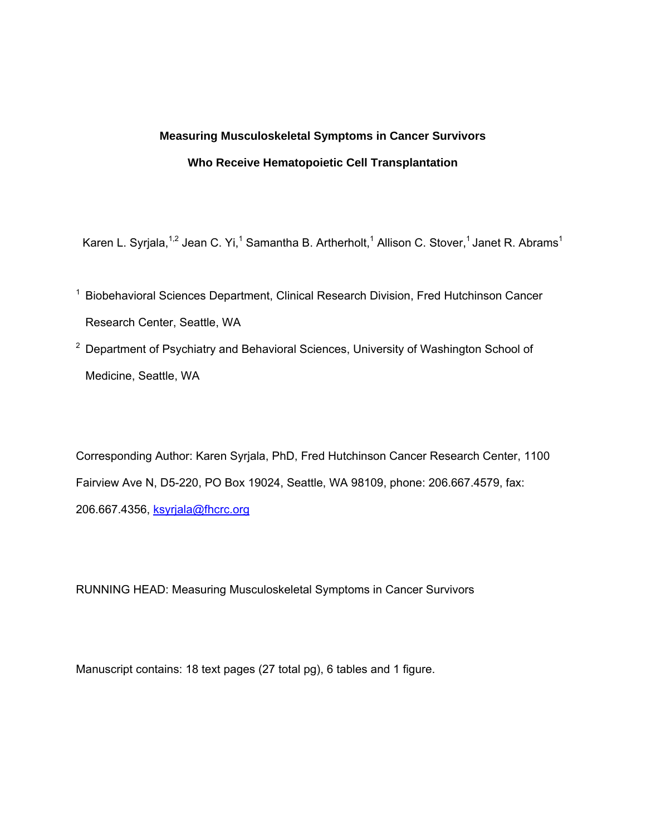# **Measuring Musculoskeletal Symptoms in Cancer Survivors Who Receive Hematopoietic Cell Transplantation**

Karen L. Syrjala,<sup>1,2</sup> Jean C. Yi,<sup>1</sup> Samantha B. Artherholt,<sup>1</sup> Allison C. Stover,<sup>1</sup> Janet R. Abrams<sup>1</sup>

- <sup>1</sup> Biobehavioral Sciences Department, Clinical Research Division, Fred Hutchinson Cancer Research Center, Seattle, WA
- $2$  Department of Psychiatry and Behavioral Sciences, University of Washington School of Medicine, Seattle, WA

Corresponding Author: Karen Syrjala, PhD, Fred Hutchinson Cancer Research Center, 1100 Fairview Ave N, D5-220, PO Box 19024, Seattle, WA 98109, phone: 206.667.4579, fax: 206.667.4356, ksyrjala@fhcrc.org

RUNNING HEAD: Measuring Musculoskeletal Symptoms in Cancer Survivors

Manuscript contains: 18 text pages (27 total pg), 6 tables and 1 figure.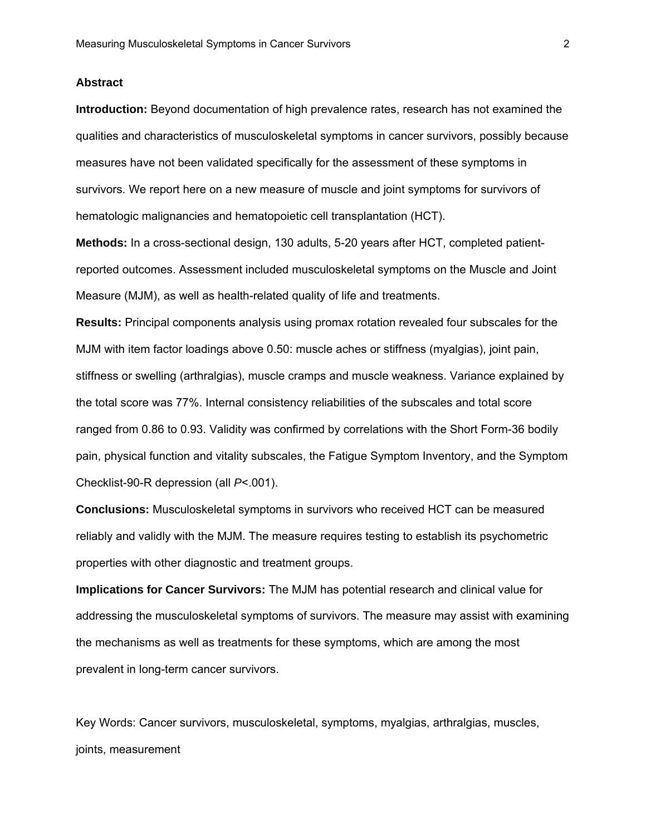#### **Abstract**

**Introduction:** Beyond documentation of high prevalence rates, research has not examined the qualities and characteristics of musculoskeletal symptoms in cancer survivors, possibly because measures have not been validated specifically for the assessment of these symptoms in survivors. We report here on a new measure of muscle and joint symptoms for survivors of hematologic malignancies and hematopoietic cell transplantation (HCT).

**Methods:** In a cross-sectional design, 130 adults, 5-20 years after HCT, completed patientreported outcomes. Assessment included musculoskeletal symptoms on the Muscle and Joint Measure (MJM), as well as health-related quality of life and treatments.

**Results:** Principal components analysis using promax rotation revealed four subscales for the MJM with item factor loadings above 0.50: muscle aches or stiffness (myalgias), joint pain, stiffness or swelling (arthralgias), muscle cramps and muscle weakness. Variance explained by the total score was 77%. Internal consistency reliabilities of the subscales and total score ranged from 0.86 to 0.93. Validity was confirmed by correlations with the Short Form-36 bodily pain, physical function and vitality subscales, the Fatigue Symptom Inventory, and the Symptom Checklist-90-R depression (all *P*<.001).

**Conclusions:** Musculoskeletal symptoms in survivors who received HCT can be measured reliably and validly with the MJM. The measure requires testing to establish its psychometric properties with other diagnostic and treatment groups.

**Implications for Cancer Survivors:** The MJM has potential research and clinical value for addressing the musculoskeletal symptoms of survivors. The measure may assist with examining the mechanisms as well as treatments for these symptoms, which are among the most prevalent in long-term cancer survivors.

Key Words: Cancer survivors, musculoskeletal, symptoms, myalgias, arthralgias, muscles, joints, measurement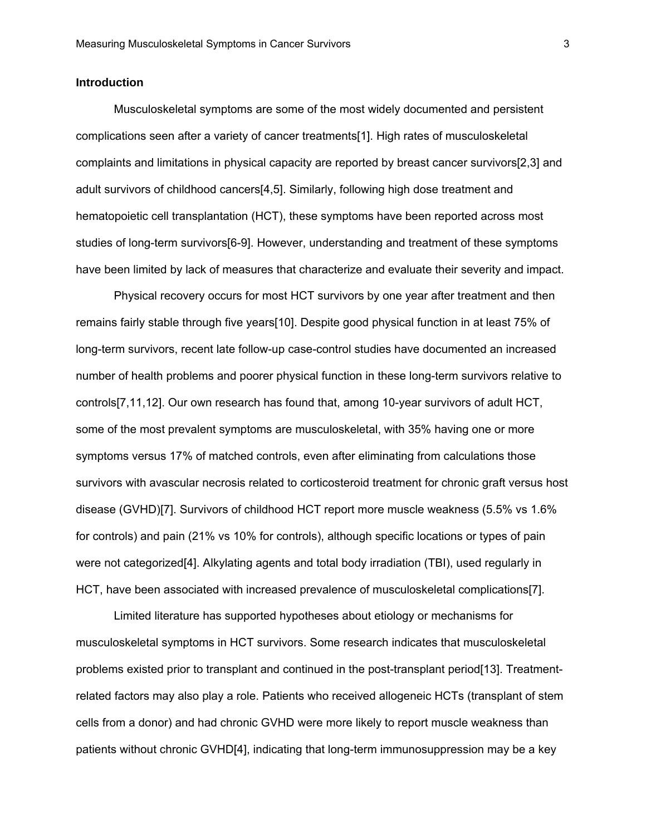## **Introduction**

Musculoskeletal symptoms are some of the most widely documented and persistent complications seen after a variety of cancer treatments[1]. High rates of musculoskeletal complaints and limitations in physical capacity are reported by breast cancer survivors[2,3] and adult survivors of childhood cancers[4,5]. Similarly, following high dose treatment and hematopoietic cell transplantation (HCT), these symptoms have been reported across most studies of long-term survivors[6-9]. However, understanding and treatment of these symptoms have been limited by lack of measures that characterize and evaluate their severity and impact.

Physical recovery occurs for most HCT survivors by one year after treatment and then remains fairly stable through five years[10]. Despite good physical function in at least 75% of long-term survivors, recent late follow-up case-control studies have documented an increased number of health problems and poorer physical function in these long-term survivors relative to controls[7,11,12]. Our own research has found that, among 10-year survivors of adult HCT, some of the most prevalent symptoms are musculoskeletal, with 35% having one or more symptoms versus 17% of matched controls, even after eliminating from calculations those survivors with avascular necrosis related to corticosteroid treatment for chronic graft versus host disease (GVHD)[7]. Survivors of childhood HCT report more muscle weakness (5.5% vs 1.6% for controls) and pain (21% vs 10% for controls), although specific locations or types of pain were not categorized[4]. Alkylating agents and total body irradiation (TBI), used regularly in HCT, have been associated with increased prevalence of musculoskeletal complications[7].

Limited literature has supported hypotheses about etiology or mechanisms for musculoskeletal symptoms in HCT survivors. Some research indicates that musculoskeletal problems existed prior to transplant and continued in the post-transplant period[13]. Treatmentrelated factors may also play a role. Patients who received allogeneic HCTs (transplant of stem cells from a donor) and had chronic GVHD were more likely to report muscle weakness than patients without chronic GVHD[4], indicating that long-term immunosuppression may be a key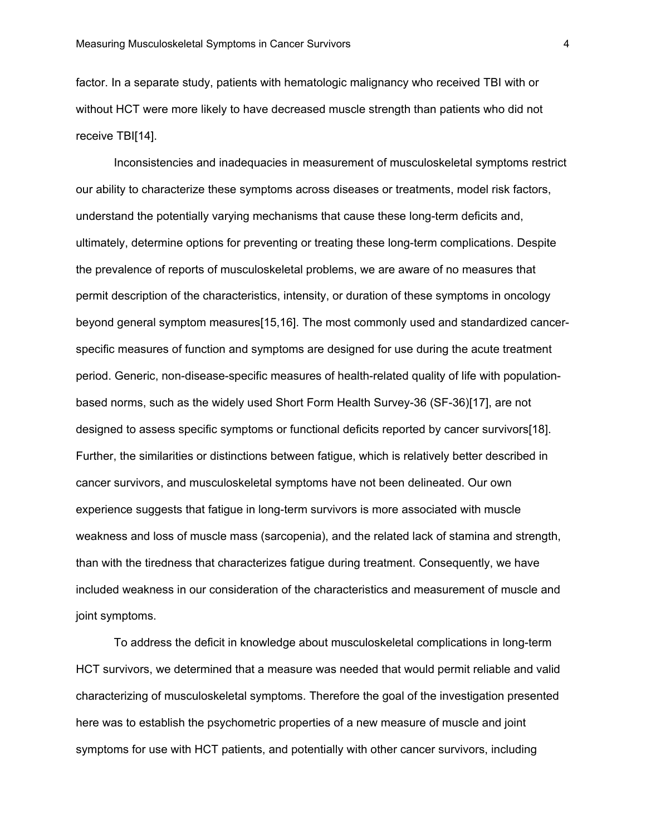factor. In a separate study, patients with hematologic malignancy who received TBI with or without HCT were more likely to have decreased muscle strength than patients who did not receive TBI[14].

Inconsistencies and inadequacies in measurement of musculoskeletal symptoms restrict our ability to characterize these symptoms across diseases or treatments, model risk factors, understand the potentially varying mechanisms that cause these long-term deficits and, ultimately, determine options for preventing or treating these long-term complications. Despite the prevalence of reports of musculoskeletal problems, we are aware of no measures that permit description of the characteristics, intensity, or duration of these symptoms in oncology beyond general symptom measures[15,16]. The most commonly used and standardized cancerspecific measures of function and symptoms are designed for use during the acute treatment period. Generic, non-disease-specific measures of health-related quality of life with populationbased norms, such as the widely used Short Form Health Survey-36 (SF-36)[17], are not designed to assess specific symptoms or functional deficits reported by cancer survivors[18]. Further, the similarities or distinctions between fatigue, which is relatively better described in cancer survivors, and musculoskeletal symptoms have not been delineated. Our own experience suggests that fatigue in long-term survivors is more associated with muscle weakness and loss of muscle mass (sarcopenia), and the related lack of stamina and strength, than with the tiredness that characterizes fatigue during treatment. Consequently, we have included weakness in our consideration of the characteristics and measurement of muscle and joint symptoms.

To address the deficit in knowledge about musculoskeletal complications in long-term HCT survivors, we determined that a measure was needed that would permit reliable and valid characterizing of musculoskeletal symptoms. Therefore the goal of the investigation presented here was to establish the psychometric properties of a new measure of muscle and joint symptoms for use with HCT patients, and potentially with other cancer survivors, including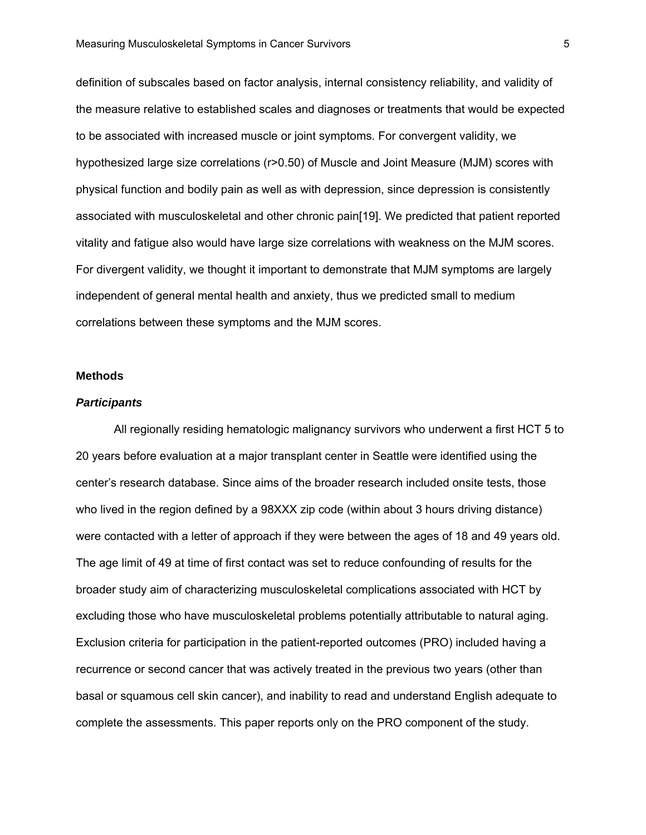definition of subscales based on factor analysis, internal consistency reliability, and validity of the measure relative to established scales and diagnoses or treatments that would be expected to be associated with increased muscle or joint symptoms. For convergent validity, we hypothesized large size correlations (r>0.50) of Muscle and Joint Measure (MJM) scores with physical function and bodily pain as well as with depression, since depression is consistently associated with musculoskeletal and other chronic pain[19]. We predicted that patient reported vitality and fatigue also would have large size correlations with weakness on the MJM scores. For divergent validity, we thought it important to demonstrate that MJM symptoms are largely independent of general mental health and anxiety, thus we predicted small to medium correlations between these symptoms and the MJM scores.

#### **Methods**

## *Participants*

All regionally residing hematologic malignancy survivors who underwent a first HCT 5 to 20 years before evaluation at a major transplant center in Seattle were identified using the center's research database. Since aims of the broader research included onsite tests, those who lived in the region defined by a 98XXX zip code (within about 3 hours driving distance) were contacted with a letter of approach if they were between the ages of 18 and 49 years old. The age limit of 49 at time of first contact was set to reduce confounding of results for the broader study aim of characterizing musculoskeletal complications associated with HCT by excluding those who have musculoskeletal problems potentially attributable to natural aging. Exclusion criteria for participation in the patient-reported outcomes (PRO) included having a recurrence or second cancer that was actively treated in the previous two years (other than basal or squamous cell skin cancer), and inability to read and understand English adequate to complete the assessments. This paper reports only on the PRO component of the study.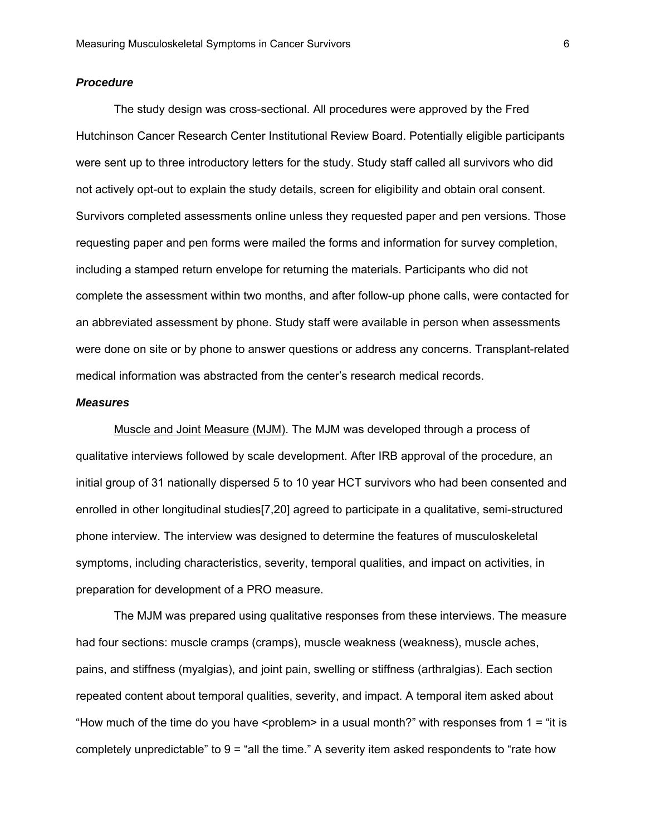### *Procedure*

The study design was cross-sectional. All procedures were approved by the Fred Hutchinson Cancer Research Center Institutional Review Board. Potentially eligible participants were sent up to three introductory letters for the study. Study staff called all survivors who did not actively opt-out to explain the study details, screen for eligibility and obtain oral consent. Survivors completed assessments online unless they requested paper and pen versions. Those requesting paper and pen forms were mailed the forms and information for survey completion, including a stamped return envelope for returning the materials. Participants who did not complete the assessment within two months, and after follow-up phone calls, were contacted for an abbreviated assessment by phone. Study staff were available in person when assessments were done on site or by phone to answer questions or address any concerns. Transplant-related medical information was abstracted from the center's research medical records.

#### *Measures*

 Muscle and Joint Measure (MJM). The MJM was developed through a process of qualitative interviews followed by scale development. After IRB approval of the procedure, an initial group of 31 nationally dispersed 5 to 10 year HCT survivors who had been consented and enrolled in other longitudinal studies[7,20] agreed to participate in a qualitative, semi-structured phone interview. The interview was designed to determine the features of musculoskeletal symptoms, including characteristics, severity, temporal qualities, and impact on activities, in preparation for development of a PRO measure.

The MJM was prepared using qualitative responses from these interviews. The measure had four sections: muscle cramps (cramps), muscle weakness (weakness), muscle aches, pains, and stiffness (myalgias), and joint pain, swelling or stiffness (arthralgias). Each section repeated content about temporal qualities, severity, and impact. A temporal item asked about "How much of the time do you have  $\epsilon$  sproblem in a usual month?" with responses from 1 = "it is completely unpredictable" to  $9 =$  "all the time." A severity item asked respondents to "rate how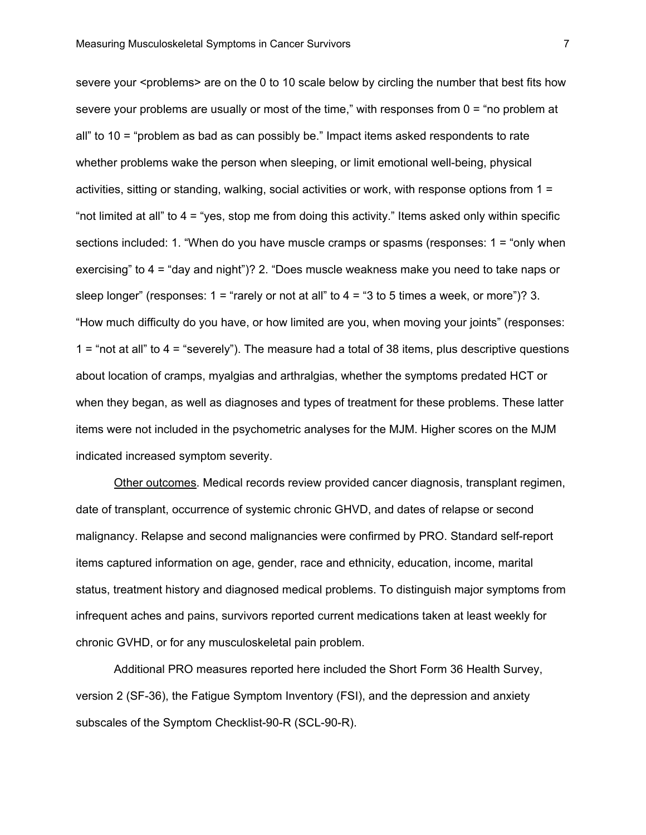severe your <problems> are on the 0 to 10 scale below by circling the number that best fits how severe your problems are usually or most of the time," with responses from 0 = "no problem at all" to 10 = "problem as bad as can possibly be." Impact items asked respondents to rate whether problems wake the person when sleeping, or limit emotional well-being, physical activities, sitting or standing, walking, social activities or work, with response options from 1 = "not limited at all" to 4 = "yes, stop me from doing this activity." Items asked only within specific sections included: 1. "When do you have muscle cramps or spasms (responses: 1 = "only when exercising" to 4 = "day and night")? 2. "Does muscle weakness make you need to take naps or sleep longer" (responses:  $1 =$  "rarely or not at all" to  $4 =$  "3 to 5 times a week, or more")? 3. "How much difficulty do you have, or how limited are you, when moving your joints" (responses: 1 = "not at all" to 4 = "severely"). The measure had a total of 38 items, plus descriptive questions about location of cramps, myalgias and arthralgias, whether the symptoms predated HCT or when they began, as well as diagnoses and types of treatment for these problems. These latter items were not included in the psychometric analyses for the MJM. Higher scores on the MJM indicated increased symptom severity.

Other outcomes. Medical records review provided cancer diagnosis, transplant regimen, date of transplant, occurrence of systemic chronic GHVD, and dates of relapse or second malignancy. Relapse and second malignancies were confirmed by PRO. Standard self-report items captured information on age, gender, race and ethnicity, education, income, marital status, treatment history and diagnosed medical problems. To distinguish major symptoms from infrequent aches and pains, survivors reported current medications taken at least weekly for chronic GVHD, or for any musculoskeletal pain problem.

Additional PRO measures reported here included the Short Form 36 Health Survey, version 2 (SF-36), the Fatigue Symptom Inventory (FSI), and the depression and anxiety subscales of the Symptom Checklist-90-R (SCL-90-R).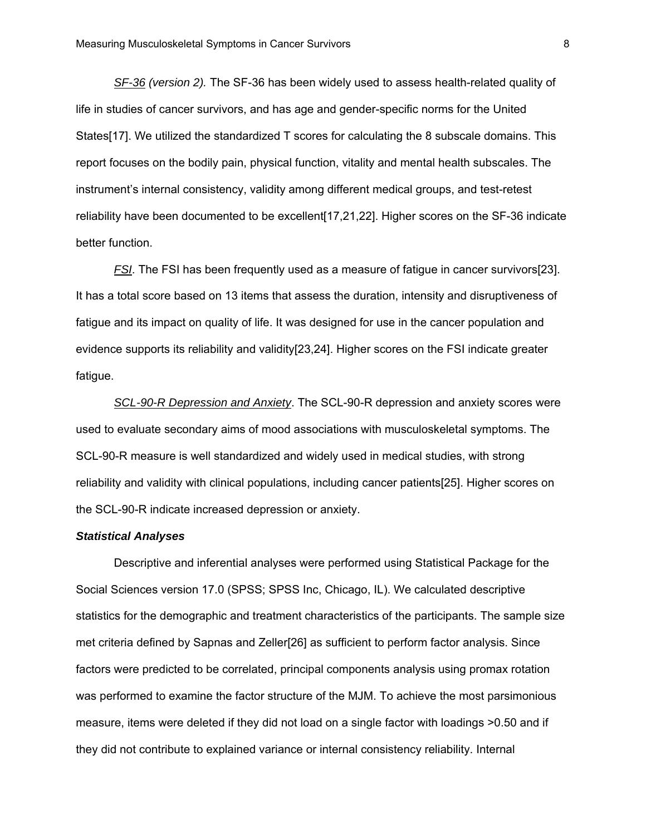*SF-36 (version 2).* The SF-36 has been widely used to assess health-related quality of life in studies of cancer survivors, and has age and gender-specific norms for the United States[17]. We utilized the standardized T scores for calculating the 8 subscale domains. This report focuses on the bodily pain, physical function, vitality and mental health subscales. The instrument's internal consistency, validity among different medical groups, and test-retest reliability have been documented to be excellent[17,21,22]. Higher scores on the SF-36 indicate better function.

*FSI*. The FSI has been frequently used as a measure of fatigue in cancer survivors[23]. It has a total score based on 13 items that assess the duration, intensity and disruptiveness of fatigue and its impact on quality of life. It was designed for use in the cancer population and evidence supports its reliability and validity[23,24]. Higher scores on the FSI indicate greater fatigue.

*SCL-90-R Depression and Anxiety*. The SCL-90-R depression and anxiety scores were used to evaluate secondary aims of mood associations with musculoskeletal symptoms. The SCL-90-R measure is well standardized and widely used in medical studies, with strong reliability and validity with clinical populations, including cancer patients[25]. Higher scores on the SCL-90-R indicate increased depression or anxiety.

## *Statistical Analyses*

 Descriptive and inferential analyses were performed using Statistical Package for the Social Sciences version 17.0 (SPSS; SPSS Inc, Chicago, IL). We calculated descriptive statistics for the demographic and treatment characteristics of the participants. The sample size met criteria defined by Sapnas and Zeller[26] as sufficient to perform factor analysis. Since factors were predicted to be correlated, principal components analysis using promax rotation was performed to examine the factor structure of the MJM. To achieve the most parsimonious measure, items were deleted if they did not load on a single factor with loadings >0.50 and if they did not contribute to explained variance or internal consistency reliability. Internal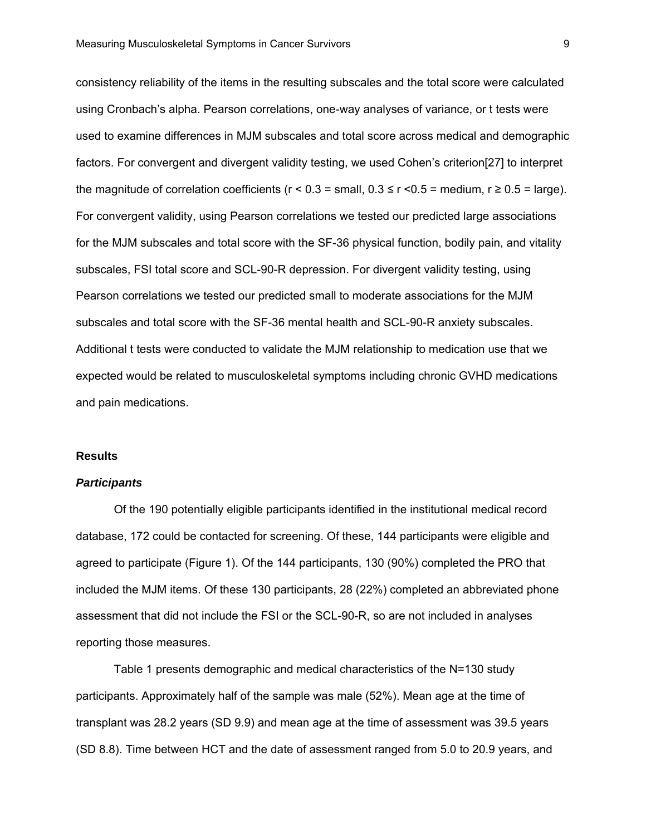consistency reliability of the items in the resulting subscales and the total score were calculated using Cronbach's alpha. Pearson correlations, one-way analyses of variance, or t tests were used to examine differences in MJM subscales and total score across medical and demographic factors. For convergent and divergent validity testing, we used Cohen's criterion[27] to interpret the magnitude of correlation coefficients ( $r < 0.3$  = small,  $0.3 \le r < 0.5$  = medium,  $r \ge 0.5$  = large). For convergent validity, using Pearson correlations we tested our predicted large associations for the MJM subscales and total score with the SF-36 physical function, bodily pain, and vitality subscales, FSI total score and SCL-90-R depression. For divergent validity testing, using Pearson correlations we tested our predicted small to moderate associations for the MJM subscales and total score with the SF-36 mental health and SCL-90-R anxiety subscales. Additional t tests were conducted to validate the MJM relationship to medication use that we expected would be related to musculoskeletal symptoms including chronic GVHD medications and pain medications.

#### **Results**

## *Participants*

Of the 190 potentially eligible participants identified in the institutional medical record database, 172 could be contacted for screening. Of these, 144 participants were eligible and agreed to participate (Figure 1). Of the 144 participants, 130 (90%) completed the PRO that included the MJM items. Of these 130 participants, 28 (22%) completed an abbreviated phone assessment that did not include the FSI or the SCL-90-R, so are not included in analyses reporting those measures.

Table 1 presents demographic and medical characteristics of the N=130 study participants. Approximately half of the sample was male (52%). Mean age at the time of transplant was 28.2 years (SD 9.9) and mean age at the time of assessment was 39.5 years (SD 8.8). Time between HCT and the date of assessment ranged from 5.0 to 20.9 years, and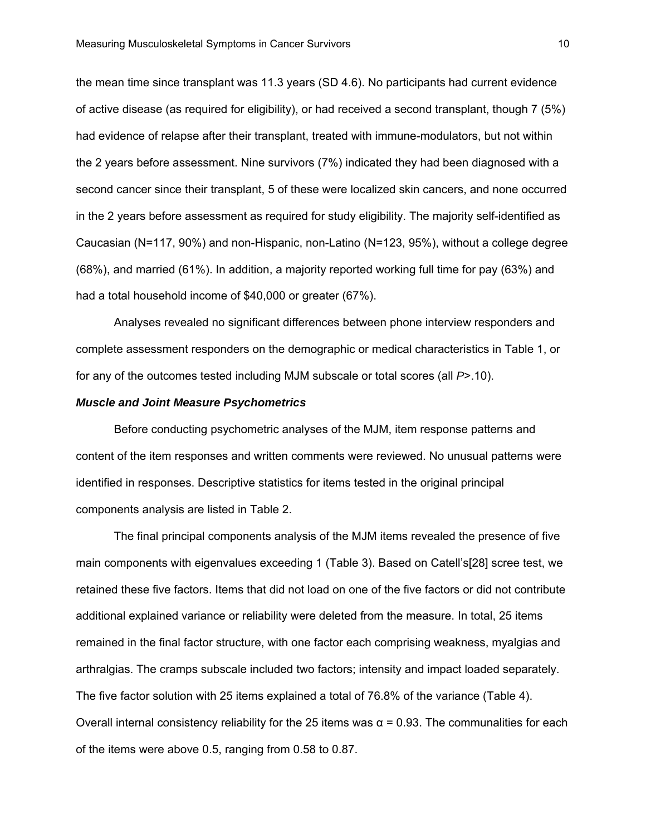the mean time since transplant was 11.3 years (SD 4.6). No participants had current evidence of active disease (as required for eligibility), or had received a second transplant, though 7 (5%) had evidence of relapse after their transplant, treated with immune-modulators, but not within the 2 years before assessment. Nine survivors (7%) indicated they had been diagnosed with a second cancer since their transplant, 5 of these were localized skin cancers, and none occurred in the 2 years before assessment as required for study eligibility. The majority self-identified as Caucasian (N=117, 90%) and non-Hispanic, non-Latino (N=123, 95%), without a college degree (68%), and married (61%). In addition, a majority reported working full time for pay (63%) and had a total household income of \$40,000 or greater (67%).

Analyses revealed no significant differences between phone interview responders and complete assessment responders on the demographic or medical characteristics in Table 1, or for any of the outcomes tested including MJM subscale or total scores (all *P*>.10).

#### *Muscle and Joint Measure Psychometrics*

Before conducting psychometric analyses of the MJM, item response patterns and content of the item responses and written comments were reviewed. No unusual patterns were identified in responses. Descriptive statistics for items tested in the original principal components analysis are listed in Table 2.

The final principal components analysis of the MJM items revealed the presence of five main components with eigenvalues exceeding 1 (Table 3). Based on Catell's[28] scree test, we retained these five factors. Items that did not load on one of the five factors or did not contribute additional explained variance or reliability were deleted from the measure. In total, 25 items remained in the final factor structure, with one factor each comprising weakness, myalgias and arthralgias. The cramps subscale included two factors; intensity and impact loaded separately. The five factor solution with 25 items explained a total of 76.8% of the variance (Table 4). Overall internal consistency reliability for the 25 items was  $α = 0.93$ . The communalities for each of the items were above 0.5, ranging from 0.58 to 0.87.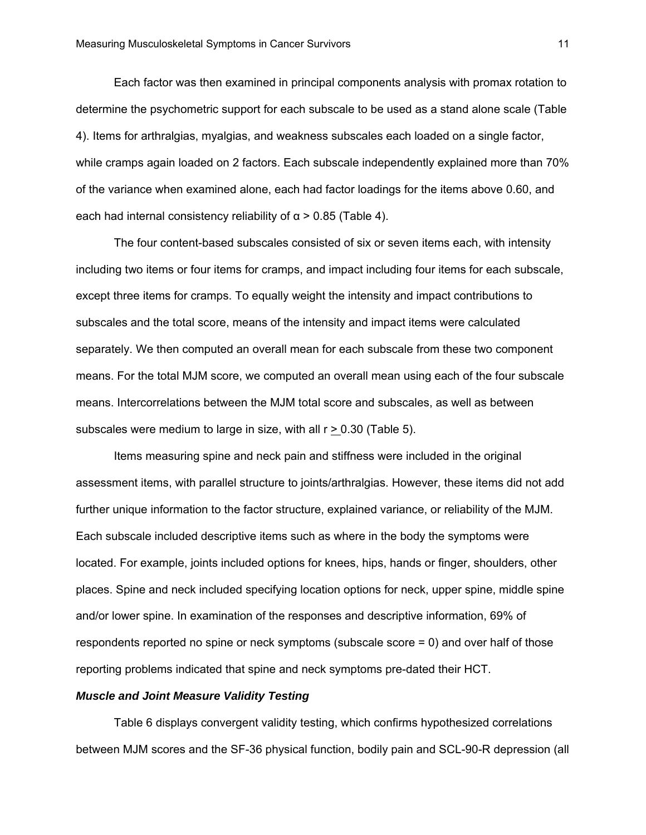Each factor was then examined in principal components analysis with promax rotation to determine the psychometric support for each subscale to be used as a stand alone scale (Table 4). Items for arthralgias, myalgias, and weakness subscales each loaded on a single factor, while cramps again loaded on 2 factors. Each subscale independently explained more than 70% of the variance when examined alone, each had factor loadings for the items above 0.60, and each had internal consistency reliability of  $\alpha$  > 0.85 (Table 4).

The four content-based subscales consisted of six or seven items each, with intensity including two items or four items for cramps, and impact including four items for each subscale, except three items for cramps. To equally weight the intensity and impact contributions to subscales and the total score, means of the intensity and impact items were calculated separately. We then computed an overall mean for each subscale from these two component means. For the total MJM score, we computed an overall mean using each of the four subscale means. Intercorrelations between the MJM total score and subscales, as well as between subscales were medium to large in size, with all  $r \ge 0.30$  (Table 5).

Items measuring spine and neck pain and stiffness were included in the original assessment items, with parallel structure to joints/arthralgias. However, these items did not add further unique information to the factor structure, explained variance, or reliability of the MJM. Each subscale included descriptive items such as where in the body the symptoms were located. For example, joints included options for knees, hips, hands or finger, shoulders, other places. Spine and neck included specifying location options for neck, upper spine, middle spine and/or lower spine. In examination of the responses and descriptive information, 69% of respondents reported no spine or neck symptoms (subscale score = 0) and over half of those reporting problems indicated that spine and neck symptoms pre-dated their HCT.

# *Muscle and Joint Measure Validity Testing*

Table 6 displays convergent validity testing, which confirms hypothesized correlations between MJM scores and the SF-36 physical function, bodily pain and SCL-90-R depression (all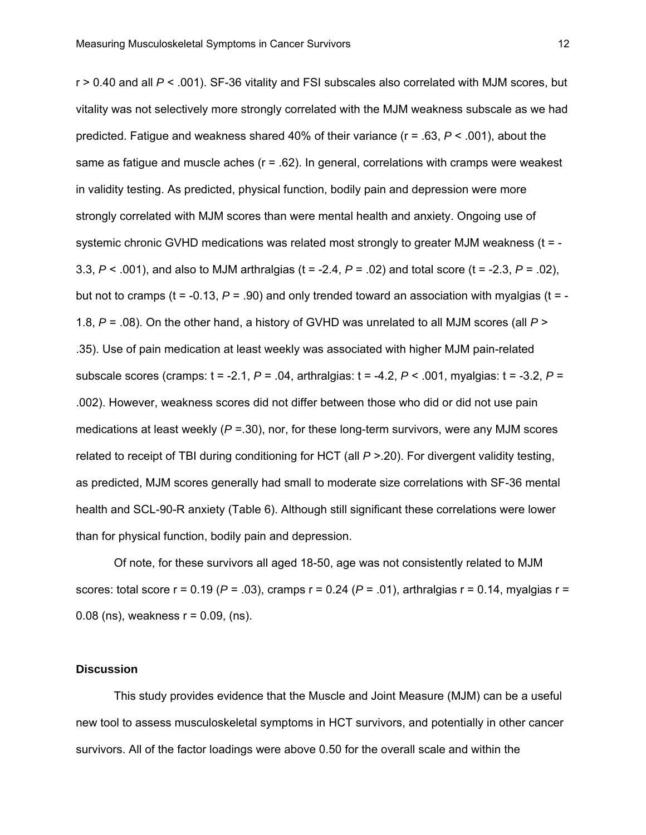r > 0.40 and all *P* < .001). SF-36 vitality and FSI subscales also correlated with MJM scores, but vitality was not selectively more strongly correlated with the MJM weakness subscale as we had predicted. Fatigue and weakness shared 40% of their variance (r = .63, *P* < .001), about the same as fatigue and muscle aches  $(r = .62)$ . In general, correlations with cramps were weakest in validity testing. As predicted, physical function, bodily pain and depression were more strongly correlated with MJM scores than were mental health and anxiety. Ongoing use of systemic chronic GVHD medications was related most strongly to greater MJM weakness (t = -3.3, *P* < .001), and also to MJM arthralgias (t = -2.4, *P* = .02) and total score (t = -2.3, *P* = .02), but not to cramps ( $t = -0.13$ ,  $P = .90$ ) and only trended toward an association with myalgias ( $t = -1$ 1.8, *P* = .08). On the other hand, a history of GVHD was unrelated to all MJM scores (all *P* > .35). Use of pain medication at least weekly was associated with higher MJM pain-related subscale scores (cramps: t = -2.1, *P* = .04, arthralgias: t = -4.2, *P* < .001, myalgias: t = -3.2, *P* = .002). However, weakness scores did not differ between those who did or did not use pain medications at least weekly (*P* =.30), nor, for these long-term survivors, were any MJM scores related to receipt of TBI during conditioning for HCT (all *P* >.20). For divergent validity testing, as predicted, MJM scores generally had small to moderate size correlations with SF-36 mental health and SCL-90-R anxiety (Table 6). Although still significant these correlations were lower than for physical function, bodily pain and depression.

Of note, for these survivors all aged 18-50, age was not consistently related to MJM scores: total score  $r = 0.19$  ( $P = .03$ ), cramps  $r = 0.24$  ( $P = .01$ ), arthralgias  $r = 0.14$ , myalgias  $r =$ 0.08 (ns), weakness  $r = 0.09$ , (ns).

### **Discussion**

This study provides evidence that the Muscle and Joint Measure (MJM) can be a useful new tool to assess musculoskeletal symptoms in HCT survivors, and potentially in other cancer survivors. All of the factor loadings were above 0.50 for the overall scale and within the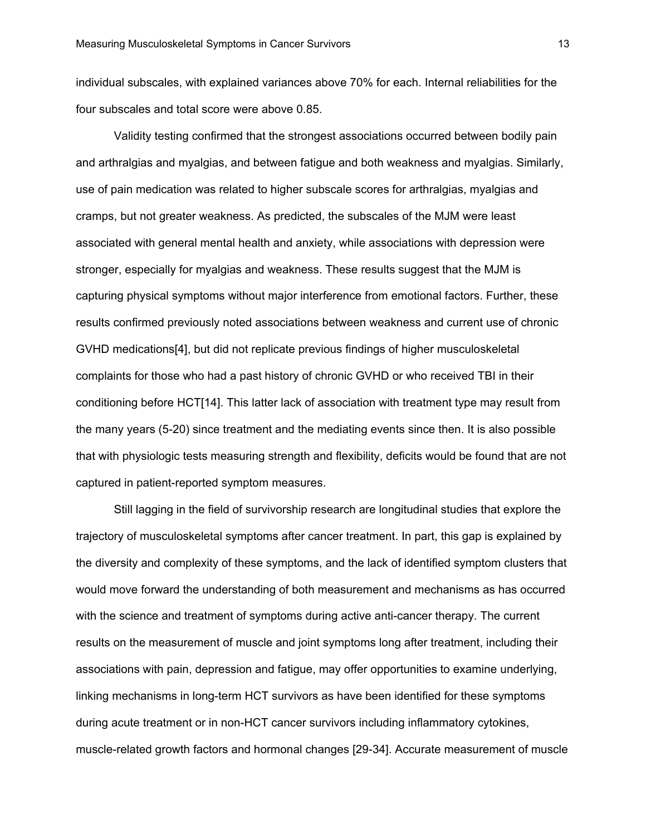individual subscales, with explained variances above 70% for each. Internal reliabilities for the four subscales and total score were above 0.85.

Validity testing confirmed that the strongest associations occurred between bodily pain and arthralgias and myalgias, and between fatigue and both weakness and myalgias. Similarly, use of pain medication was related to higher subscale scores for arthralgias, myalgias and cramps, but not greater weakness. As predicted, the subscales of the MJM were least associated with general mental health and anxiety, while associations with depression were stronger, especially for myalgias and weakness. These results suggest that the MJM is capturing physical symptoms without major interference from emotional factors. Further, these results confirmed previously noted associations between weakness and current use of chronic GVHD medications[4], but did not replicate previous findings of higher musculoskeletal complaints for those who had a past history of chronic GVHD or who received TBI in their conditioning before HCT[14]. This latter lack of association with treatment type may result from the many years (5-20) since treatment and the mediating events since then. It is also possible that with physiologic tests measuring strength and flexibility, deficits would be found that are not captured in patient-reported symptom measures.

Still lagging in the field of survivorship research are longitudinal studies that explore the trajectory of musculoskeletal symptoms after cancer treatment. In part, this gap is explained by the diversity and complexity of these symptoms, and the lack of identified symptom clusters that would move forward the understanding of both measurement and mechanisms as has occurred with the science and treatment of symptoms during active anti-cancer therapy. The current results on the measurement of muscle and joint symptoms long after treatment, including their associations with pain, depression and fatigue, may offer opportunities to examine underlying, linking mechanisms in long-term HCT survivors as have been identified for these symptoms during acute treatment or in non-HCT cancer survivors including inflammatory cytokines, muscle-related growth factors and hormonal changes [29-34]. Accurate measurement of muscle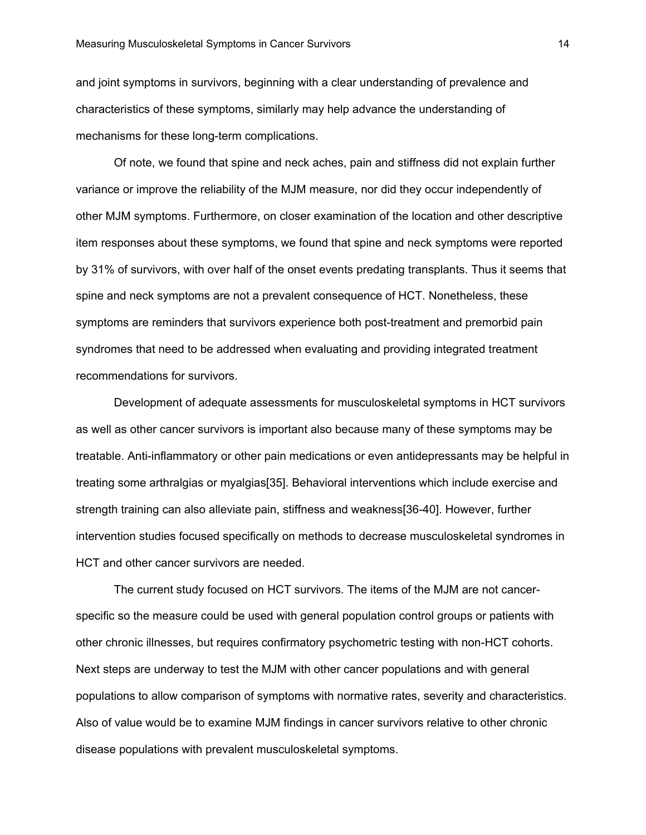and joint symptoms in survivors, beginning with a clear understanding of prevalence and characteristics of these symptoms, similarly may help advance the understanding of mechanisms for these long-term complications.

Of note, we found that spine and neck aches, pain and stiffness did not explain further variance or improve the reliability of the MJM measure, nor did they occur independently of other MJM symptoms. Furthermore, on closer examination of the location and other descriptive item responses about these symptoms, we found that spine and neck symptoms were reported by 31% of survivors, with over half of the onset events predating transplants. Thus it seems that spine and neck symptoms are not a prevalent consequence of HCT. Nonetheless, these symptoms are reminders that survivors experience both post-treatment and premorbid pain syndromes that need to be addressed when evaluating and providing integrated treatment recommendations for survivors.

Development of adequate assessments for musculoskeletal symptoms in HCT survivors as well as other cancer survivors is important also because many of these symptoms may be treatable. Anti-inflammatory or other pain medications or even antidepressants may be helpful in treating some arthralgias or myalgias[35]. Behavioral interventions which include exercise and strength training can also alleviate pain, stiffness and weakness[36-40]. However, further intervention studies focused specifically on methods to decrease musculoskeletal syndromes in HCT and other cancer survivors are needed.

The current study focused on HCT survivors. The items of the MJM are not cancerspecific so the measure could be used with general population control groups or patients with other chronic illnesses, but requires confirmatory psychometric testing with non-HCT cohorts. Next steps are underway to test the MJM with other cancer populations and with general populations to allow comparison of symptoms with normative rates, severity and characteristics. Also of value would be to examine MJM findings in cancer survivors relative to other chronic disease populations with prevalent musculoskeletal symptoms.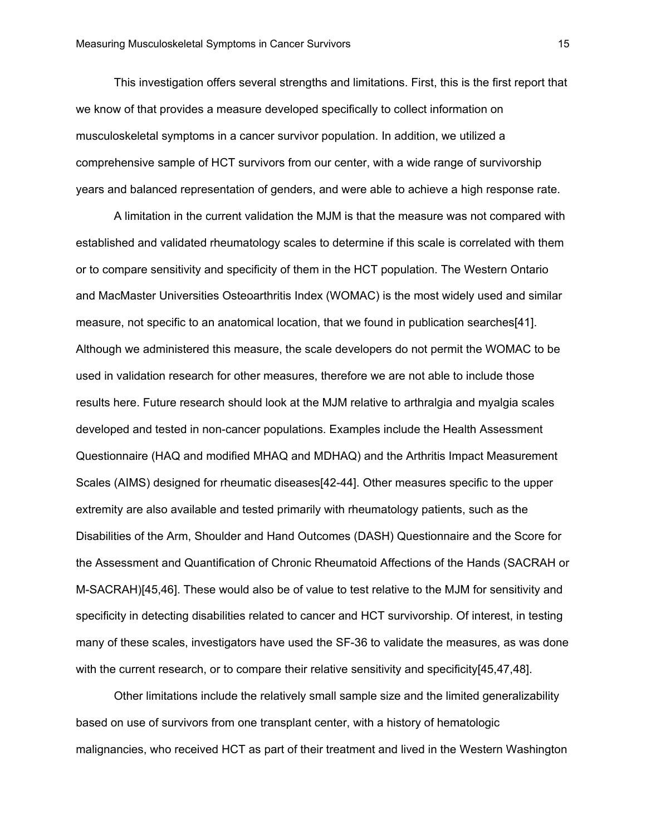This investigation offers several strengths and limitations. First, this is the first report that we know of that provides a measure developed specifically to collect information on musculoskeletal symptoms in a cancer survivor population. In addition, we utilized a comprehensive sample of HCT survivors from our center, with a wide range of survivorship years and balanced representation of genders, and were able to achieve a high response rate.

A limitation in the current validation the MJM is that the measure was not compared with established and validated rheumatology scales to determine if this scale is correlated with them or to compare sensitivity and specificity of them in the HCT population. The Western Ontario and MacMaster Universities Osteoarthritis Index (WOMAC) is the most widely used and similar measure, not specific to an anatomical location, that we found in publication searches[41]. Although we administered this measure, the scale developers do not permit the WOMAC to be used in validation research for other measures, therefore we are not able to include those results here. Future research should look at the MJM relative to arthralgia and myalgia scales developed and tested in non-cancer populations. Examples include the Health Assessment Questionnaire (HAQ and modified MHAQ and MDHAQ) and the Arthritis Impact Measurement Scales (AIMS) designed for rheumatic diseases[42-44]. Other measures specific to the upper extremity are also available and tested primarily with rheumatology patients, such as the Disabilities of the Arm, Shoulder and Hand Outcomes (DASH) Questionnaire and the Score for the Assessment and Quantification of Chronic Rheumatoid Affections of the Hands (SACRAH or M-SACRAH)[45,46]. These would also be of value to test relative to the MJM for sensitivity and specificity in detecting disabilities related to cancer and HCT survivorship. Of interest, in testing many of these scales, investigators have used the SF-36 to validate the measures, as was done with the current research, or to compare their relative sensitivity and specificity[45,47,48].

Other limitations include the relatively small sample size and the limited generalizability based on use of survivors from one transplant center, with a history of hematologic malignancies, who received HCT as part of their treatment and lived in the Western Washington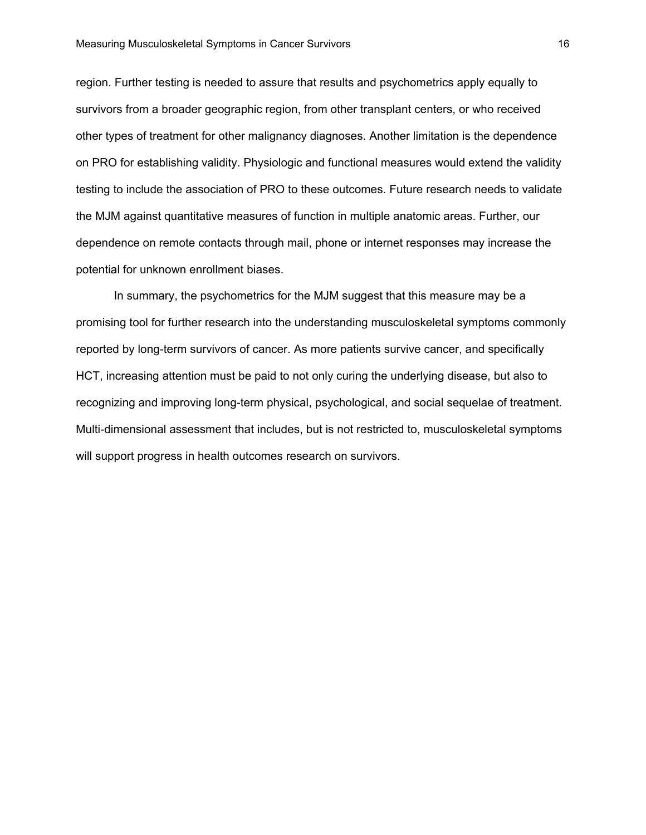region. Further testing is needed to assure that results and psychometrics apply equally to survivors from a broader geographic region, from other transplant centers, or who received other types of treatment for other malignancy diagnoses. Another limitation is the dependence on PRO for establishing validity. Physiologic and functional measures would extend the validity testing to include the association of PRO to these outcomes. Future research needs to validate the MJM against quantitative measures of function in multiple anatomic areas. Further, our dependence on remote contacts through mail, phone or internet responses may increase the potential for unknown enrollment biases.

In summary, the psychometrics for the MJM suggest that this measure may be a promising tool for further research into the understanding musculoskeletal symptoms commonly reported by long-term survivors of cancer. As more patients survive cancer, and specifically HCT, increasing attention must be paid to not only curing the underlying disease, but also to recognizing and improving long-term physical, psychological, and social sequelae of treatment. Multi-dimensional assessment that includes, but is not restricted to, musculoskeletal symptoms will support progress in health outcomes research on survivors.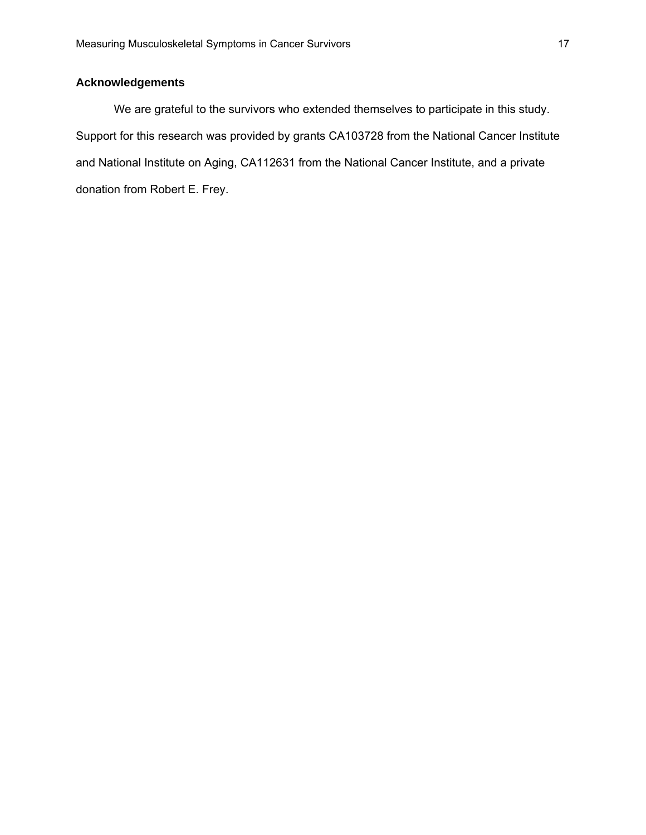# **Acknowledgements**

We are grateful to the survivors who extended themselves to participate in this study. Support for this research was provided by grants CA103728 from the National Cancer Institute and National Institute on Aging, CA112631 from the National Cancer Institute, and a private donation from Robert E. Frey.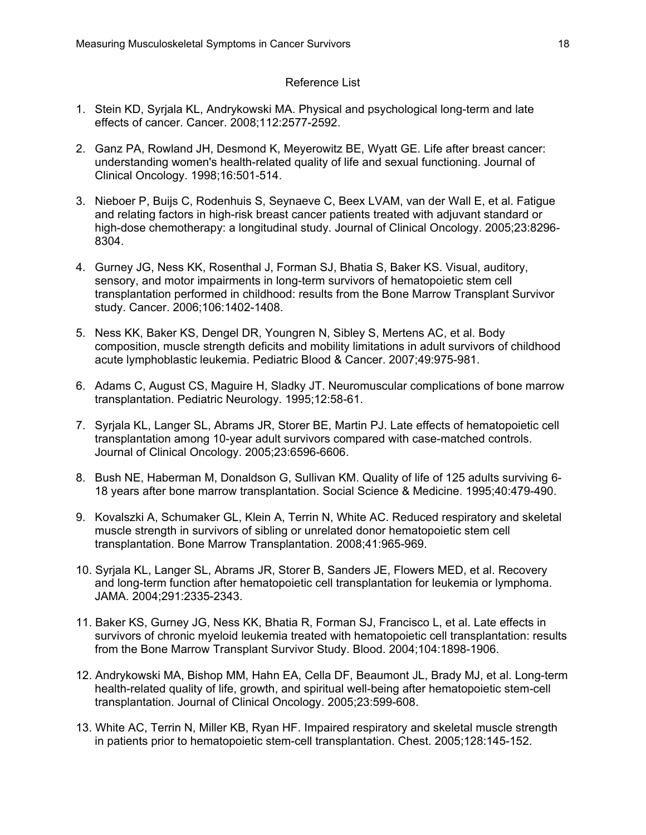### Reference List

- 1. Stein KD, Syrjala KL, Andrykowski MA. Physical and psychological long-term and late effects of cancer. Cancer. 2008;112:2577-2592.
- 2. Ganz PA, Rowland JH, Desmond K, Meyerowitz BE, Wyatt GE. Life after breast cancer: understanding women's health-related quality of life and sexual functioning. Journal of Clinical Oncology. 1998;16:501-514.
- 3. Nieboer P, Buijs C, Rodenhuis S, Seynaeve C, Beex LVAM, van der Wall E, et al. Fatigue and relating factors in high-risk breast cancer patients treated with adjuvant standard or high-dose chemotherapy: a longitudinal study. Journal of Clinical Oncology. 2005;23:8296- 8304.
- 4. Gurney JG, Ness KK, Rosenthal J, Forman SJ, Bhatia S, Baker KS. Visual, auditory, sensory, and motor impairments in long-term survivors of hematopoietic stem cell transplantation performed in childhood: results from the Bone Marrow Transplant Survivor study. Cancer. 2006;106:1402-1408.
- 5. Ness KK, Baker KS, Dengel DR, Youngren N, Sibley S, Mertens AC, et al. Body composition, muscle strength deficits and mobility limitations in adult survivors of childhood acute lymphoblastic leukemia. Pediatric Blood & Cancer. 2007;49:975-981.
- 6. Adams C, August CS, Maguire H, Sladky JT. Neuromuscular complications of bone marrow transplantation. Pediatric Neurology. 1995;12:58-61.
- 7. Syrjala KL, Langer SL, Abrams JR, Storer BE, Martin PJ. Late effects of hematopoietic cell transplantation among 10-year adult survivors compared with case-matched controls. Journal of Clinical Oncology. 2005;23:6596-6606.
- 8. Bush NE, Haberman M, Donaldson G, Sullivan KM. Quality of life of 125 adults surviving 6- 18 years after bone marrow transplantation. Social Science & Medicine. 1995;40:479-490.
- 9. Kovalszki A, Schumaker GL, Klein A, Terrin N, White AC. Reduced respiratory and skeletal muscle strength in survivors of sibling or unrelated donor hematopoietic stem cell transplantation. Bone Marrow Transplantation. 2008;41:965-969.
- 10. Syrjala KL, Langer SL, Abrams JR, Storer B, Sanders JE, Flowers MED, et al. Recovery and long-term function after hematopoietic cell transplantation for leukemia or lymphoma. JAMA. 2004;291:2335-2343.
- 11. Baker KS, Gurney JG, Ness KK, Bhatia R, Forman SJ, Francisco L, et al. Late effects in survivors of chronic myeloid leukemia treated with hematopoietic cell transplantation: results from the Bone Marrow Transplant Survivor Study. Blood. 2004;104:1898-1906.
- 12. Andrykowski MA, Bishop MM, Hahn EA, Cella DF, Beaumont JL, Brady MJ, et al. Long-term health-related quality of life, growth, and spiritual well-being after hematopoietic stem-cell transplantation. Journal of Clinical Oncology. 2005;23:599-608.
- 13. White AC, Terrin N, Miller KB, Ryan HF. Impaired respiratory and skeletal muscle strength in patients prior to hematopoietic stem-cell transplantation. Chest. 2005;128:145-152.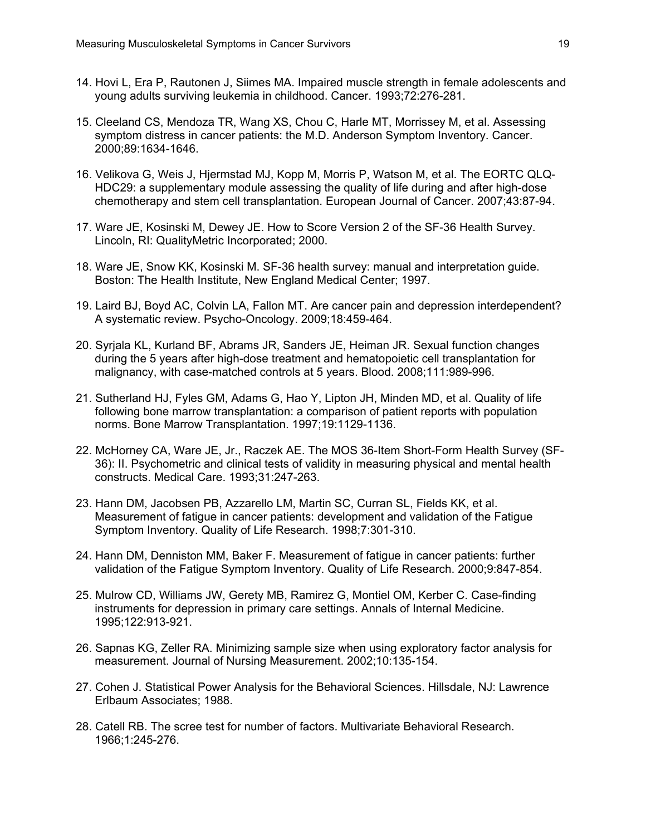- 14. Hovi L, Era P, Rautonen J, Siimes MA. Impaired muscle strength in female adolescents and young adults surviving leukemia in childhood. Cancer. 1993;72:276-281.
- 15. Cleeland CS, Mendoza TR, Wang XS, Chou C, Harle MT, Morrissey M, et al. Assessing symptom distress in cancer patients: the M.D. Anderson Symptom Inventory. Cancer. 2000;89:1634-1646.
- 16. Velikova G, Weis J, Hjermstad MJ, Kopp M, Morris P, Watson M, et al. The EORTC QLQ-HDC29: a supplementary module assessing the quality of life during and after high-dose chemotherapy and stem cell transplantation. European Journal of Cancer. 2007;43:87-94.
- 17. Ware JE, Kosinski M, Dewey JE. How to Score Version 2 of the SF-36 Health Survey. Lincoln, RI: QualityMetric Incorporated; 2000.
- 18. Ware JE, Snow KK, Kosinski M. SF-36 health survey: manual and interpretation guide. Boston: The Health Institute, New England Medical Center; 1997.
- 19. Laird BJ, Boyd AC, Colvin LA, Fallon MT. Are cancer pain and depression interdependent? A systematic review. Psycho-Oncology. 2009;18:459-464.
- 20. Syrjala KL, Kurland BF, Abrams JR, Sanders JE, Heiman JR. Sexual function changes during the 5 years after high-dose treatment and hematopoietic cell transplantation for malignancy, with case-matched controls at 5 years. Blood. 2008;111:989-996.
- 21. Sutherland HJ, Fyles GM, Adams G, Hao Y, Lipton JH, Minden MD, et al. Quality of life following bone marrow transplantation: a comparison of patient reports with population norms. Bone Marrow Transplantation. 1997;19:1129-1136.
- 22. McHorney CA, Ware JE, Jr., Raczek AE. The MOS 36-Item Short-Form Health Survey (SF-36): II. Psychometric and clinical tests of validity in measuring physical and mental health constructs. Medical Care. 1993;31:247-263.
- 23. Hann DM, Jacobsen PB, Azzarello LM, Martin SC, Curran SL, Fields KK, et al. Measurement of fatigue in cancer patients: development and validation of the Fatigue Symptom Inventory. Quality of Life Research. 1998;7:301-310.
- 24. Hann DM, Denniston MM, Baker F. Measurement of fatigue in cancer patients: further validation of the Fatigue Symptom Inventory. Quality of Life Research. 2000;9:847-854.
- 25. Mulrow CD, Williams JW, Gerety MB, Ramirez G, Montiel OM, Kerber C. Case-finding instruments for depression in primary care settings. Annals of Internal Medicine. 1995;122:913-921.
- 26. Sapnas KG, Zeller RA. Minimizing sample size when using exploratory factor analysis for measurement. Journal of Nursing Measurement. 2002;10:135-154.
- 27. Cohen J. Statistical Power Analysis for the Behavioral Sciences. Hillsdale, NJ: Lawrence Erlbaum Associates; 1988.
- 28. Catell RB. The scree test for number of factors. Multivariate Behavioral Research. 1966;1:245-276.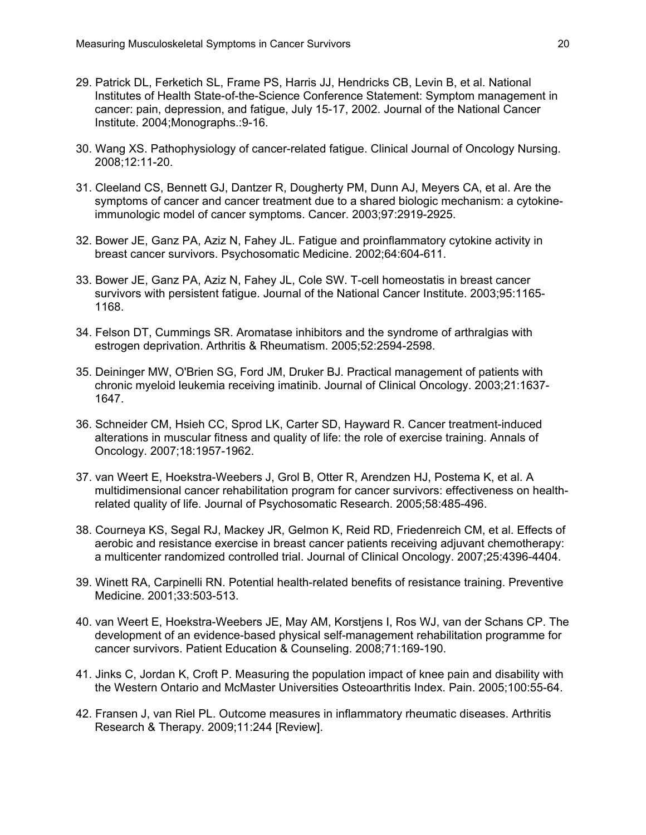- 29. Patrick DL, Ferketich SL, Frame PS, Harris JJ, Hendricks CB, Levin B, et al. National Institutes of Health State-of-the-Science Conference Statement: Symptom management in cancer: pain, depression, and fatigue, July 15-17, 2002. Journal of the National Cancer Institute. 2004;Monographs.:9-16.
- 30. Wang XS. Pathophysiology of cancer-related fatigue. Clinical Journal of Oncology Nursing. 2008;12:11-20.
- 31. Cleeland CS, Bennett GJ, Dantzer R, Dougherty PM, Dunn AJ, Meyers CA, et al. Are the symptoms of cancer and cancer treatment due to a shared biologic mechanism: a cytokineimmunologic model of cancer symptoms. Cancer. 2003;97:2919-2925.
- 32. Bower JE, Ganz PA, Aziz N, Fahey JL. Fatigue and proinflammatory cytokine activity in breast cancer survivors. Psychosomatic Medicine. 2002;64:604-611.
- 33. Bower JE, Ganz PA, Aziz N, Fahey JL, Cole SW. T-cell homeostatis in breast cancer survivors with persistent fatigue. Journal of the National Cancer Institute. 2003;95:1165- 1168.
- 34. Felson DT, Cummings SR. Aromatase inhibitors and the syndrome of arthralgias with estrogen deprivation. Arthritis & Rheumatism. 2005;52:2594-2598.
- 35. Deininger MW, O'Brien SG, Ford JM, Druker BJ. Practical management of patients with chronic myeloid leukemia receiving imatinib. Journal of Clinical Oncology. 2003;21:1637- 1647.
- 36. Schneider CM, Hsieh CC, Sprod LK, Carter SD, Hayward R. Cancer treatment-induced alterations in muscular fitness and quality of life: the role of exercise training. Annals of Oncology. 2007;18:1957-1962.
- 37. van Weert E, Hoekstra-Weebers J, Grol B, Otter R, Arendzen HJ, Postema K, et al. A multidimensional cancer rehabilitation program for cancer survivors: effectiveness on healthrelated quality of life. Journal of Psychosomatic Research. 2005;58:485-496.
- 38. Courneya KS, Segal RJ, Mackey JR, Gelmon K, Reid RD, Friedenreich CM, et al. Effects of aerobic and resistance exercise in breast cancer patients receiving adjuvant chemotherapy: a multicenter randomized controlled trial. Journal of Clinical Oncology. 2007;25:4396-4404.
- 39. Winett RA, Carpinelli RN. Potential health-related benefits of resistance training. Preventive Medicine. 2001;33:503-513.
- 40. van Weert E, Hoekstra-Weebers JE, May AM, Korstjens I, Ros WJ, van der Schans CP. The development of an evidence-based physical self-management rehabilitation programme for cancer survivors. Patient Education & Counseling. 2008;71:169-190.
- 41. Jinks C, Jordan K, Croft P. Measuring the population impact of knee pain and disability with the Western Ontario and McMaster Universities Osteoarthritis Index. Pain. 2005;100:55-64.
- 42. Fransen J, van Riel PL. Outcome measures in inflammatory rheumatic diseases. Arthritis Research & Therapy. 2009;11:244 [Review].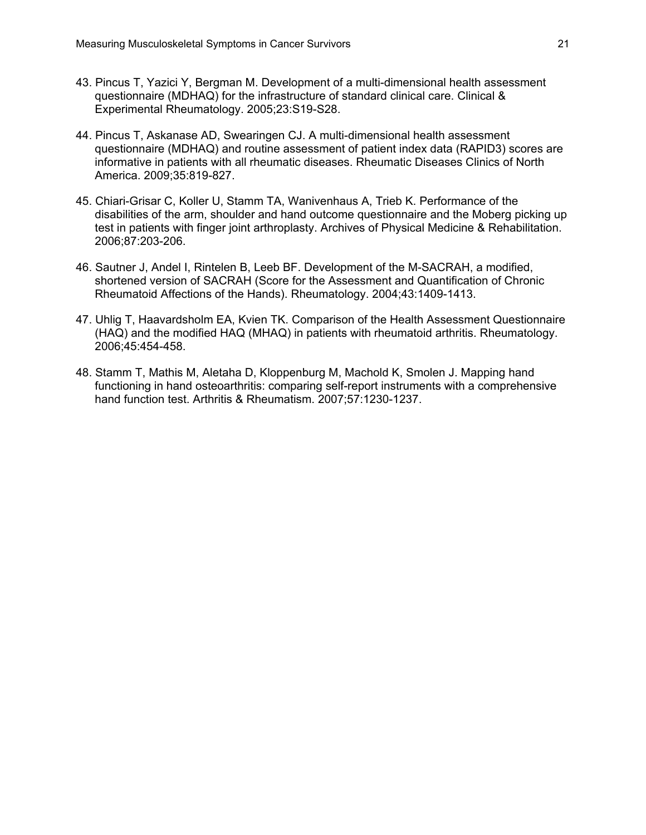- 43. Pincus T, Yazici Y, Bergman M. Development of a multi-dimensional health assessment questionnaire (MDHAQ) for the infrastructure of standard clinical care. Clinical & Experimental Rheumatology. 2005;23:S19-S28.
- 44. Pincus T, Askanase AD, Swearingen CJ. A multi-dimensional health assessment questionnaire (MDHAQ) and routine assessment of patient index data (RAPID3) scores are informative in patients with all rheumatic diseases. Rheumatic Diseases Clinics of North America. 2009;35:819-827.
- 45. Chiari-Grisar C, Koller U, Stamm TA, Wanivenhaus A, Trieb K. Performance of the disabilities of the arm, shoulder and hand outcome questionnaire and the Moberg picking up test in patients with finger joint arthroplasty. Archives of Physical Medicine & Rehabilitation. 2006;87:203-206.
- 46. Sautner J, Andel I, Rintelen B, Leeb BF. Development of the M-SACRAH, a modified, shortened version of SACRAH (Score for the Assessment and Quantification of Chronic Rheumatoid Affections of the Hands). Rheumatology. 2004;43:1409-1413.
- 47. Uhlig T, Haavardsholm EA, Kvien TK. Comparison of the Health Assessment Questionnaire (HAQ) and the modified HAQ (MHAQ) in patients with rheumatoid arthritis. Rheumatology. 2006;45:454-458.
- 48. Stamm T, Mathis M, Aletaha D, Kloppenburg M, Machold K, Smolen J. Mapping hand functioning in hand osteoarthritis: comparing self-report instruments with a comprehensive hand function test. Arthritis & Rheumatism. 2007;57:1230-1237.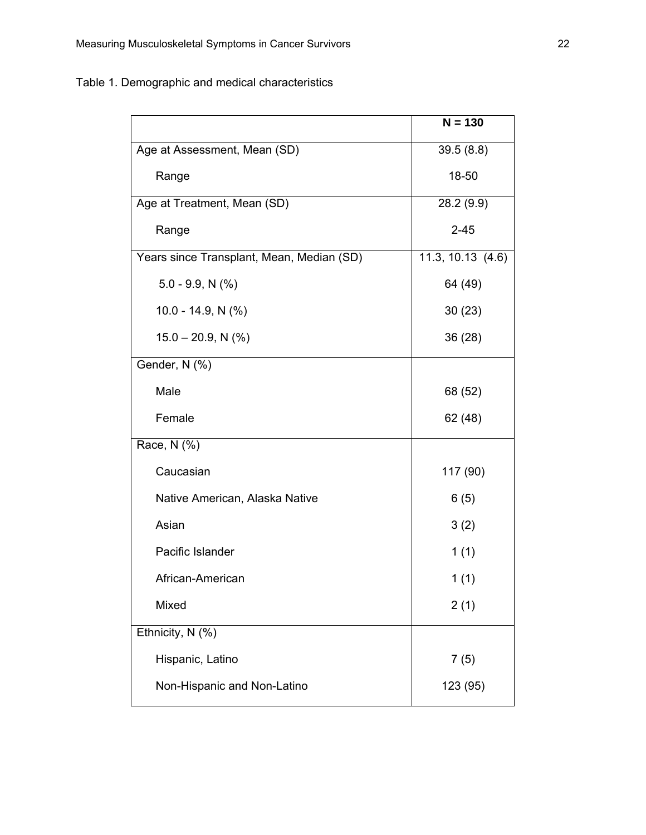Table 1. Demographic and medical characteristics

|                                           | $N = 130$         |
|-------------------------------------------|-------------------|
| Age at Assessment, Mean (SD)              | 39.5(8.8)         |
| Range                                     | 18-50             |
| Age at Treatment, Mean (SD)               | 28.2(9.9)         |
| Range                                     | $2 - 45$          |
| Years since Transplant, Mean, Median (SD) | 11.3, 10.13 (4.6) |
| $5.0 - 9.9, N$ (%)                        | 64 (49)           |
| 10.0 - 14.9, N $(\% )$                    | 30(23)            |
| $15.0 - 20.9$ , N $(\%)$                  | 36 (28)           |
| Gender, N (%)                             |                   |
| Male                                      | 68 (52)           |
| Female                                    | 62 (48)           |
| Race, N (%)                               |                   |
| Caucasian                                 | 117 (90)          |
| Native American, Alaska Native            | 6(5)              |
| Asian                                     | 3(2)              |
| Pacific Islander                          | 1(1)              |
| African-American                          | 1(1)              |
| Mixed                                     | 2(1)              |
| Ethnicity, N (%)                          |                   |
| Hispanic, Latino                          | 7(5)              |
| Non-Hispanic and Non-Latino               | 123 (95)          |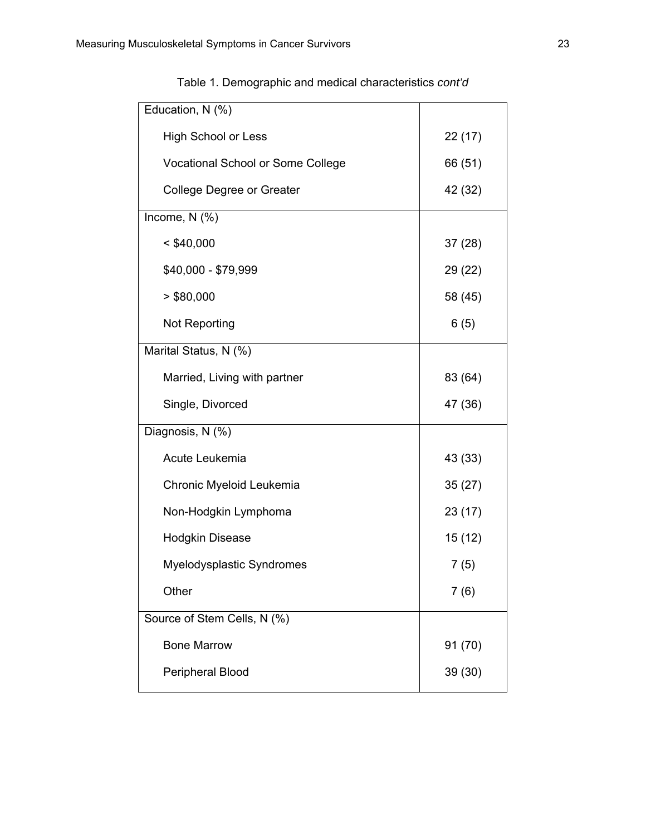| Education, N (%)                  |         |
|-----------------------------------|---------|
| <b>High School or Less</b>        | 22(17)  |
| Vocational School or Some College | 66 (51) |
| College Degree or Greater         | 42 (32) |
| Income, $N$ (%)                   |         |
| $<$ \$40,000                      | 37(28)  |
| \$40,000 - \$79,999               | 29 (22) |
| > \$80,000                        | 58 (45) |
| Not Reporting                     | 6(5)    |
| Marital Status, N (%)             |         |
| Married, Living with partner      | 83 (64) |
| Single, Divorced                  | 47 (36) |
| Diagnosis, N (%)                  |         |
| Acute Leukemia                    | 43 (33) |
| Chronic Myeloid Leukemia          | 35(27)  |
| Non-Hodgkin Lymphoma              | 23 (17) |
| <b>Hodgkin Disease</b>            | 15(12)  |
| Myelodysplastic Syndromes         | 7(5)    |
| Other                             | 7(6)    |
| Source of Stem Cells, N (%)       |         |
| <b>Bone Marrow</b>                | 91 (70) |
| Peripheral Blood                  | 39 (30) |
|                                   |         |

| Table 1. Demographic and medical characteristics cont'd |  |
|---------------------------------------------------------|--|
|                                                         |  |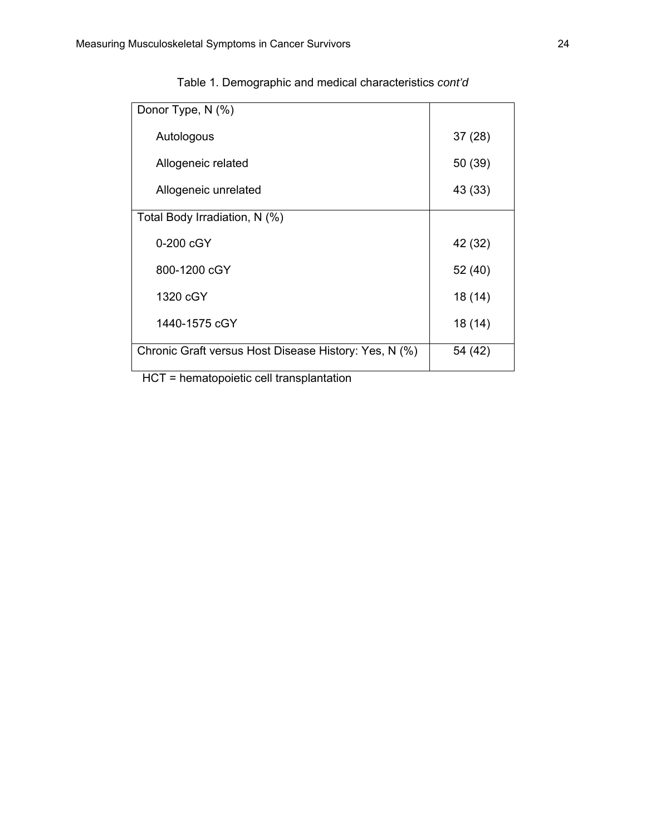| Donor Type, N (%)                                     |         |
|-------------------------------------------------------|---------|
| Autologous                                            | 37(28)  |
| Allogeneic related                                    | 50 (39) |
| Allogeneic unrelated                                  | 43 (33) |
| Total Body Irradiation, N (%)                         |         |
| 0-200 cGY                                             | 42 (32) |
| 800-1200 cGY                                          | 52 (40) |
| 1320 cGY                                              | 18 (14) |
| 1440-1575 cGY                                         | 18 (14) |
| Chronic Graft versus Host Disease History: Yes, N (%) | 54 (42) |
| $110T -$ bemeteraintin sell transplantation           |         |

| Table 1. Demographic and medical characteristics cont'd |  |
|---------------------------------------------------------|--|
|---------------------------------------------------------|--|

HCT = hematopoietic cell transplantation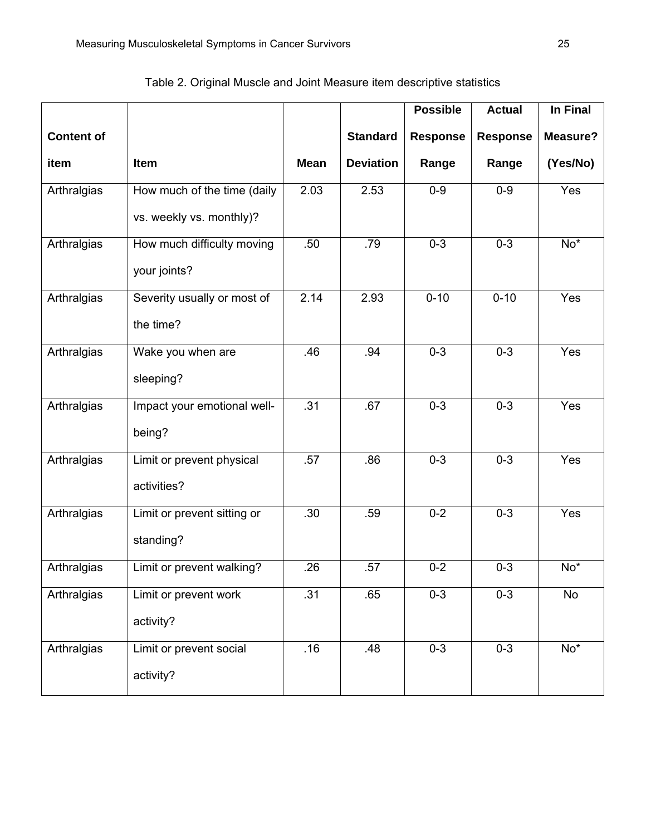|                   |                             |             |                  | <b>Possible</b> | <b>Actual</b>   | In Final          |
|-------------------|-----------------------------|-------------|------------------|-----------------|-----------------|-------------------|
| <b>Content of</b> |                             |             | <b>Standard</b>  | <b>Response</b> | <b>Response</b> | Measure?          |
| item              | <b>Item</b>                 | <b>Mean</b> | <b>Deviation</b> | Range           | Range           | (Yes/No)          |
| Arthralgias       | How much of the time (daily | 2.03        | 2.53             | $0-9$           | $0-9$           | Yes               |
|                   | vs. weekly vs. monthly)?    |             |                  |                 |                 |                   |
| Arthralgias       | How much difficulty moving  | .50         | .79              | $0 - 3$         | $0 - 3$         | $No*$             |
|                   | your joints?                |             |                  |                 |                 |                   |
| Arthralgias       | Severity usually or most of | 2.14        | 2.93             | $0 - 10$        | $0 - 10$        | Yes               |
|                   | the time?                   |             |                  |                 |                 |                   |
| Arthralgias       | Wake you when are           | .46         | .94              | $0 - 3$         | $0 - 3$         | Yes               |
|                   | sleeping?                   |             |                  |                 |                 |                   |
| Arthralgias       | Impact your emotional well- | .31         | .67              | $0 - 3$         | $0 - 3$         | Yes               |
|                   | being?                      |             |                  |                 |                 |                   |
| Arthralgias       | Limit or prevent physical   | .57         | .86              | $0 - 3$         | $0 - 3$         | Yes               |
|                   | activities?                 |             |                  |                 |                 |                   |
| Arthralgias       | Limit or prevent sitting or | .30         | .59              | $0 - 2$         | $0 - 3$         | Yes               |
|                   | standing?                   |             |                  |                 |                 |                   |
| Arthralgias       | Limit or prevent walking?   | .26         | .57              | $0 - 2$         | $0 - 3$         | $\overline{No^*}$ |
| Arthralgias       | Limit or prevent work       | .31         | .65              | $0 - 3$         | $0 - 3$         | <b>No</b>         |
|                   | activity?                   |             |                  |                 |                 |                   |
| Arthralgias       | Limit or prevent social     | .16         | .48              | $0 - 3$         | $0 - 3$         | $No*$             |
|                   | activity?                   |             |                  |                 |                 |                   |

Table 2. Original Muscle and Joint Measure item descriptive statistics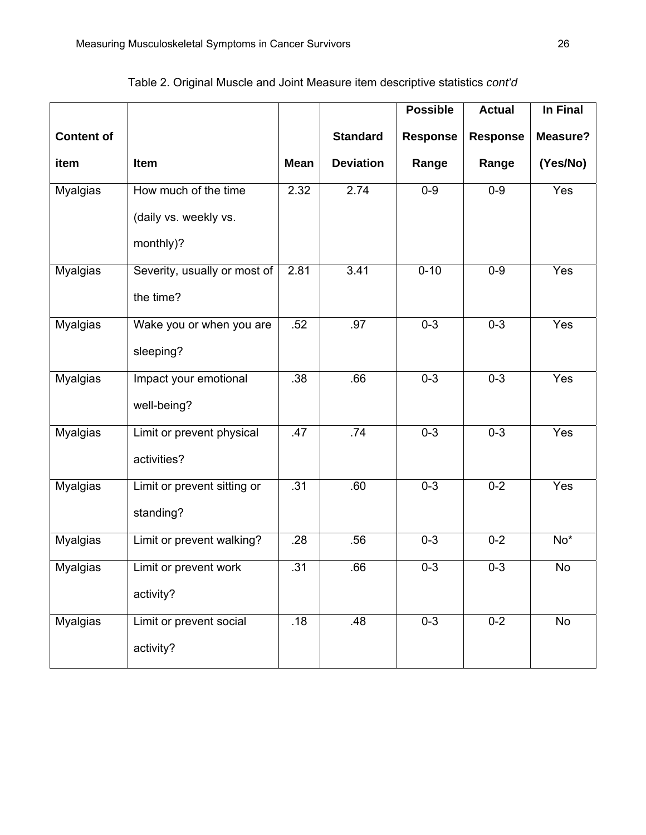|                   |                              |             |                  | <b>Possible</b> | <b>Actual</b>   | In Final |
|-------------------|------------------------------|-------------|------------------|-----------------|-----------------|----------|
| <b>Content of</b> |                              |             | <b>Standard</b>  | <b>Response</b> | <b>Response</b> | Measure? |
| item              | Item                         | <b>Mean</b> | <b>Deviation</b> | Range           | Range           | (Yes/No) |
| Myalgias          | How much of the time         | 2.32        | 2.74             | $0 - 9$         | $0-9$           | Yes      |
|                   | (daily vs. weekly vs.        |             |                  |                 |                 |          |
|                   | monthly)?                    |             |                  |                 |                 |          |
| <b>Myalgias</b>   | Severity, usually or most of | 2.81        | 3.41             | $0 - 10$        | $0 - 9$         | Yes      |
|                   | the time?                    |             |                  |                 |                 |          |
| Myalgias          | Wake you or when you are     | .52         | .97              | $0 - 3$         | $0 - 3$         | Yes      |
|                   | sleeping?                    |             |                  |                 |                 |          |
| <b>Myalgias</b>   | Impact your emotional        | .38         | .66              | $0 - 3$         | $0 - 3$         | Yes      |
|                   | well-being?                  |             |                  |                 |                 |          |
| <b>Myalgias</b>   | Limit or prevent physical    | .47         | .74              | $0 - 3$         | $0 - 3$         | Yes      |
|                   | activities?                  |             |                  |                 |                 |          |
| <b>Myalgias</b>   | Limit or prevent sitting or  | .31         | .60              | $0 - 3$         | $0 - 2$         | Yes      |
|                   | standing?                    |             |                  |                 |                 |          |
| <b>Myalgias</b>   | Limit or prevent walking?    | .28         | .56              | $0 - 3$         | $0 - 2$         | $No*$    |
| <b>Myalgias</b>   | Limit or prevent work        | .31         | .66              | $0 - 3$         | $0 - 3$         | No       |
|                   | activity?                    |             |                  |                 |                 |          |
| Myalgias          | Limit or prevent social      | .18         | .48              | $0 - 3$         | $0-2$           | No       |
|                   | activity?                    |             |                  |                 |                 |          |

Table 2. Original Muscle and Joint Measure item descriptive statistics *cont'd*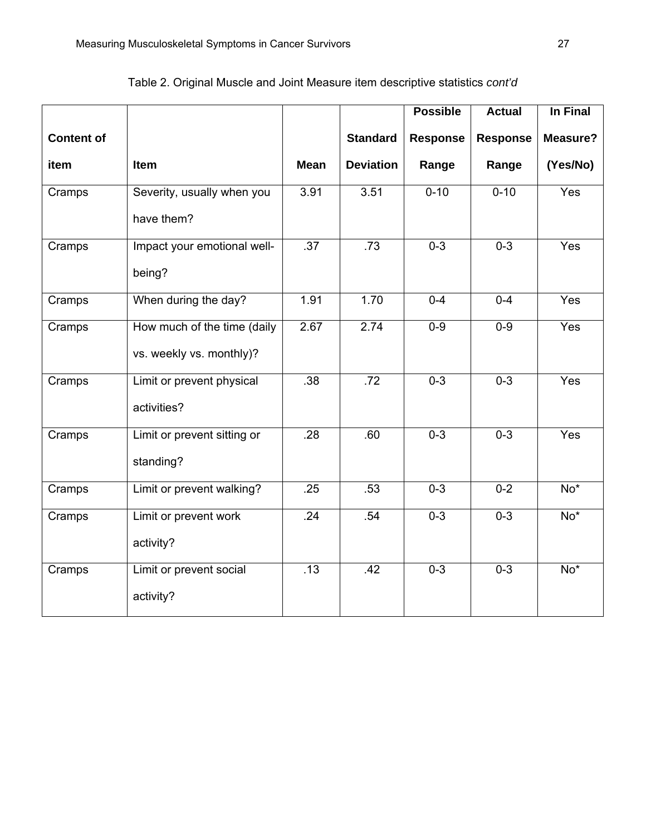|                   |                             |             |                  | <b>Possible</b> | <b>Actual</b>   | In Final         |
|-------------------|-----------------------------|-------------|------------------|-----------------|-----------------|------------------|
| <b>Content of</b> |                             |             | <b>Standard</b>  | <b>Response</b> | <b>Response</b> | Measure?         |
| item              | Item                        | <b>Mean</b> | <b>Deviation</b> | Range           | Range           | (Yes/No)         |
| Cramps            | Severity, usually when you  | 3.91        | 3.51             | $0 - 10$        | $0 - 10$        | Yes              |
|                   | have them?                  |             |                  |                 |                 |                  |
| Cramps            | Impact your emotional well- | .37         | .73              | $0 - 3$         | $0 - 3$         | Yes              |
|                   | being?                      |             |                  |                 |                 |                  |
| Cramps            | When during the day?        | 1.91        | 1.70             | $0 - 4$         | $0 - 4$         | Yes              |
| Cramps            | How much of the time (daily | 2.67        | 2.74             | $0 - 9$         | $0-9$           | Yes              |
|                   | vs. weekly vs. monthly)?    |             |                  |                 |                 |                  |
| Cramps            | Limit or prevent physical   | .38         | .72              | $0 - 3$         | $0 - 3$         | Yes              |
|                   | activities?                 |             |                  |                 |                 |                  |
| Cramps            | Limit or prevent sitting or | .28         | .60              | $0 - 3$         | $0 - 3$         | Yes              |
|                   | standing?                   |             |                  |                 |                 |                  |
| Cramps            | Limit or prevent walking?   | .25         | .53              | $0 - 3$         | $0 - 2$         | $No*$            |
| Cramps            | Limit or prevent work       | .24         | .54              | $0 - 3$         | $0 - 3$         | $\overline{No*}$ |
|                   | activity?                   |             |                  |                 |                 |                  |
| Cramps            | Limit or prevent social     | .13         | .42              | $0 - 3$         | $0 - 3$         | $No*$            |
|                   | activity?                   |             |                  |                 |                 |                  |

# Table 2. Original Muscle and Joint Measure item descriptive statistics *cont'd*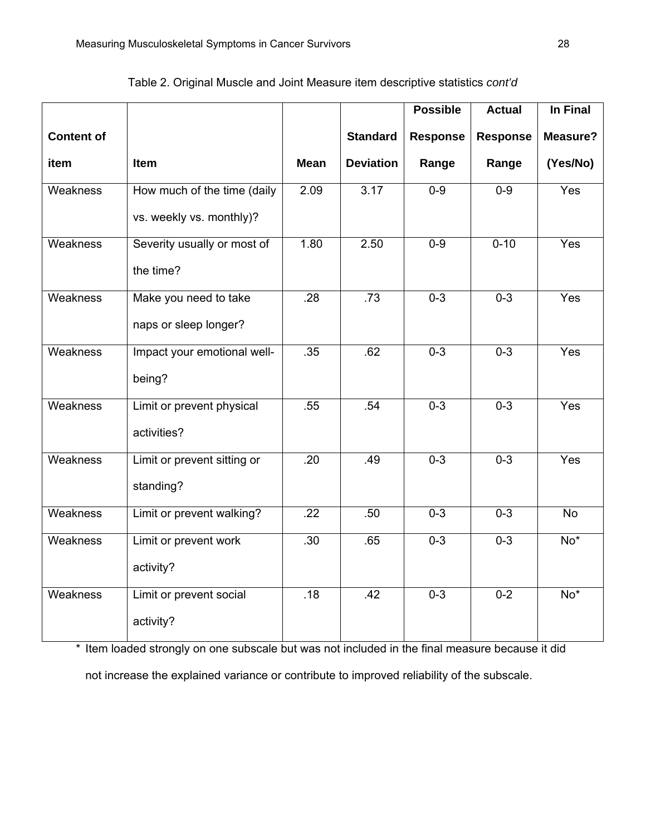|                   |                                                         |             |                  | <b>Possible</b> | <b>Actual</b>   | In Final          |
|-------------------|---------------------------------------------------------|-------------|------------------|-----------------|-----------------|-------------------|
| <b>Content of</b> |                                                         |             | <b>Standard</b>  | <b>Response</b> | <b>Response</b> | Measure?          |
| item              | Item                                                    | <b>Mean</b> | <b>Deviation</b> | Range           | Range           | (Yes/No)          |
| Weakness          | How much of the time (daily<br>vs. weekly vs. monthly)? | 2.09        | 3.17             | $0 - 9$         | $0-9$           | Yes               |
| Weakness          | Severity usually or most of<br>the time?                | 1.80        | 2.50             | $0 - 9$         | $0 - 10$        | Yes               |
| <b>Weakness</b>   | Make you need to take<br>naps or sleep longer?          | .28         | .73              | $0 - 3$         | $0 - 3$         | Yes               |
| Weakness          | Impact your emotional well-<br>being?                   | .35         | .62              | $0 - 3$         | $0 - 3$         | Yes               |
| Weakness          | Limit or prevent physical<br>activities?                | .55         | .54              | $0 - 3$         | $0 - 3$         | Yes               |
| Weakness          | Limit or prevent sitting or<br>standing?                | .20         | .49              | $0 - 3$         | $0 - 3$         | Yes               |
| <b>Weakness</b>   | Limit or prevent walking?                               | .22         | .50              | $0 - 3$         | $0 - 3$         | N <sub>o</sub>    |
| <b>Weakness</b>   | Limit or prevent work<br>activity?                      | .30         | .65              | $0 - 3$         | $0 - 3$         | $\overline{No^*}$ |
| Weakness          | Limit or prevent social<br>activity?                    | .18         | .42              | $0 - 3$         | $0-2$           | $\overline{No*}$  |

Table 2. Original Muscle and Joint Measure item descriptive statistics *cont'd*

\* Item loaded strongly on one subscale but was not included in the final measure because it did

not increase the explained variance or contribute to improved reliability of the subscale.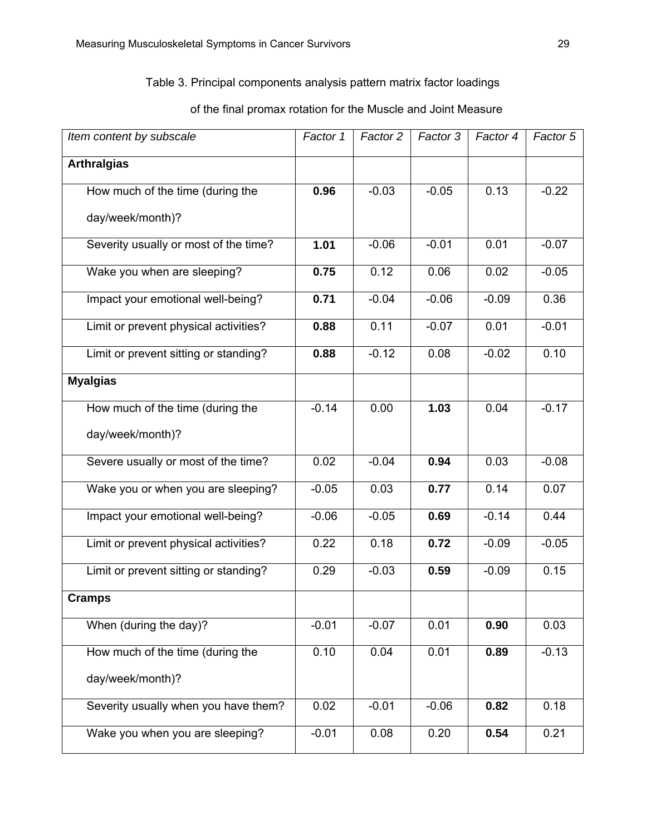## Table 3. Principal components analysis pattern matrix factor loadings

# *Item content by subscale*  $\vert$  *Factor 1* | *Factor 2* | *Factor 3* | *Factor 4* | *Factor 5* **Arthralgias**  How much of the time (during the day/week/month)? **0.96**  $\vert$  -0.03  $\vert$  -0.05  $\vert$  0.13  $\vert$  -0.22 Severity usually or most of the time? **1.01** -0.06 -0.01 0.01 -0.07 Wake you when are sleeping?  $\vert$  0.75  $\vert$  0.12  $\vert$  0.06  $\vert$  0.02  $\vert$  -0.05 Impact your emotional well-being?  $\vert$  0.71  $\vert$  -0.04  $\vert$  -0.06  $\vert$  -0.09  $\vert$  0.36 Limit or prevent physical activities? **0.88** 0.11 -0.07 0.01 -0.01 Limit or prevent sitting or standing?  $\vert$  0.88  $\vert$  -0.12  $\vert$  0.08  $\vert$  -0.02  $\vert$  0.10 **Myalgias**  How much of the time (during the day/week/month)? -0.14 0.00 **1.03** 0.04 -0.17 Severe usually or most of the time? 0.02 -0.04 **0.94** 0.03 -0.08 Wake you or when you are sleeping?  $\vert$  -0.05  $\vert$  0.03  $\vert$  0.77  $\vert$  0.14  $\vert$  0.07 Impact your emotional well-being?  $\vert$  -0.06  $\vert$  -0.05  $\vert$  0.69  $\vert$  -0.14  $\vert$  0.44 Limit or prevent physical activities? 0.22 0.18 **0.72** -0.09 -0.05 Limit or prevent sitting or standing? 0.29 -0.03 **0.59** -0.09 0.15 **Cramps**  When (during the day)?  $\vert$  -0.01  $\vert$  -0.07  $\vert$  0.01  $\vert$  0.90  $\vert$  0.03 How much of the time (during the day/week/month)? 0.10 0.04 0.01 **0.89** -0.13 Severity usually when you have them? 0.02 -0.01 -0.06 **0.82** 0.18 Wake you when you are sleeping? | -0.01 | 0.08 | 0.20 | 0.54 | 0.21

# of the final promax rotation for the Muscle and Joint Measure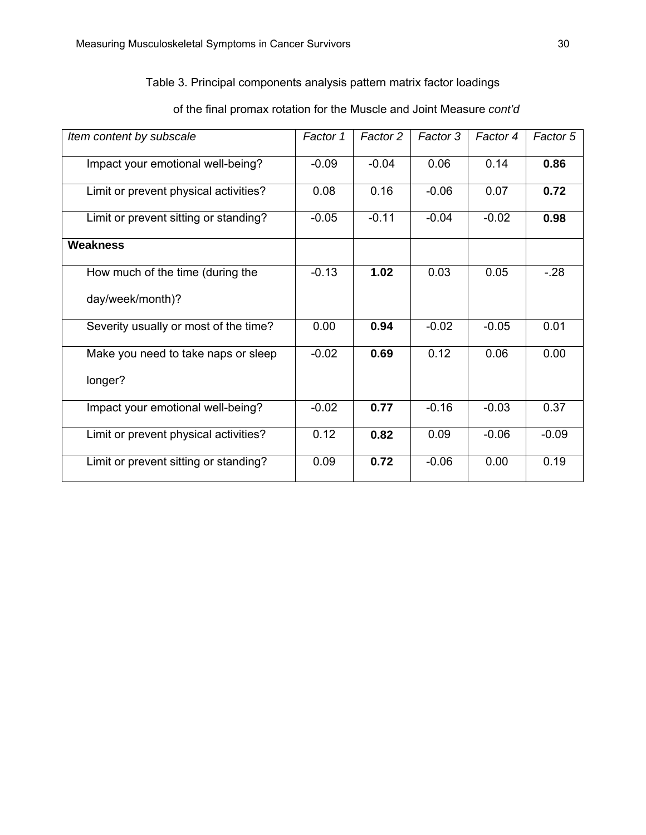# Table 3. Principal components analysis pattern matrix factor loadings

| Item content by subscale              | Factor 1 | Factor 2 | Factor 3 | Factor 4 | Factor 5 |
|---------------------------------------|----------|----------|----------|----------|----------|
| Impact your emotional well-being?     | $-0.09$  | $-0.04$  | 0.06     | 0.14     | 0.86     |
| Limit or prevent physical activities? | 0.08     | 0.16     | $-0.06$  | 0.07     | 0.72     |
| Limit or prevent sitting or standing? | $-0.05$  | $-0.11$  | $-0.04$  | $-0.02$  | 0.98     |
| Weakness                              |          |          |          |          |          |
| How much of the time (during the      | $-0.13$  | 1.02     | 0.03     | 0.05     | $-.28$   |
| day/week/month)?                      |          |          |          |          |          |
| Severity usually or most of the time? | 0.00     | 0.94     | $-0.02$  | $-0.05$  | 0.01     |
| Make you need to take naps or sleep   | $-0.02$  | 0.69     | 0.12     | 0.06     | 0.00     |
| longer?                               |          |          |          |          |          |
| Impact your emotional well-being?     | $-0.02$  | 0.77     | $-0.16$  | $-0.03$  | 0.37     |
| Limit or prevent physical activities? | 0.12     | 0.82     | 0.09     | $-0.06$  | $-0.09$  |
| Limit or prevent sitting or standing? | 0.09     | 0.72     | $-0.06$  | 0.00     | 0.19     |

# of the final promax rotation for the Muscle and Joint Measure *cont'd*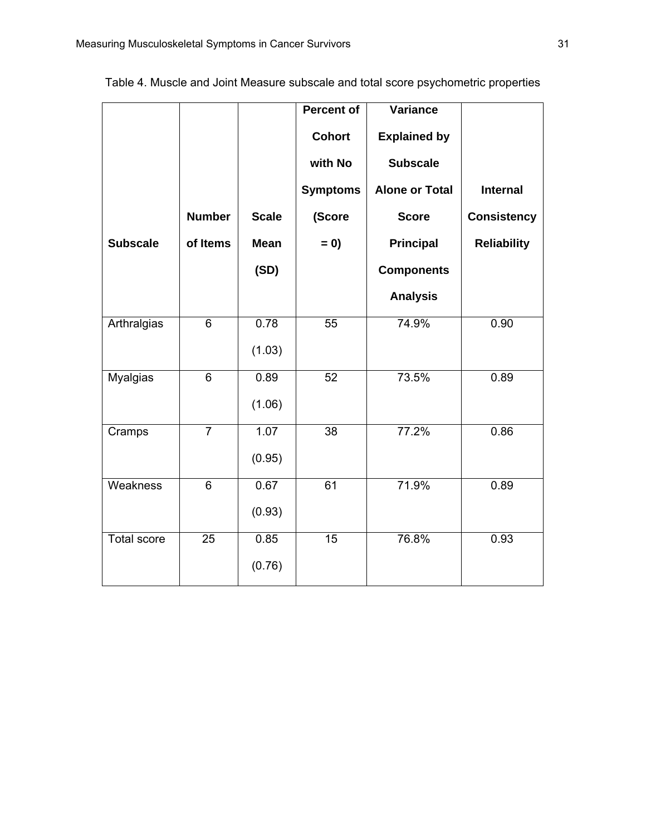|                    |                |              | <b>Percent of</b><br><b>Cohort</b><br>with No | <b>Variance</b><br><b>Explained by</b><br><b>Subscale</b> |                    |
|--------------------|----------------|--------------|-----------------------------------------------|-----------------------------------------------------------|--------------------|
|                    |                |              | <b>Symptoms</b>                               | <b>Alone or Total</b>                                     | <b>Internal</b>    |
|                    | <b>Number</b>  | <b>Scale</b> | (Score                                        | <b>Score</b>                                              | <b>Consistency</b> |
| <b>Subscale</b>    | of Items       | <b>Mean</b>  | $= 0$                                         | <b>Principal</b>                                          | <b>Reliability</b> |
|                    |                | (SD)         |                                               | <b>Components</b>                                         |                    |
|                    |                |              |                                               | <b>Analysis</b>                                           |                    |
| Arthralgias        | 6              | 0.78         | $\overline{55}$                               | 74.9%                                                     | 0.90               |
|                    |                | (1.03)       |                                               |                                                           |                    |
| <b>Myalgias</b>    | 6              | 0.89         | 52                                            | 73.5%                                                     | 0.89               |
|                    |                | (1.06)       |                                               |                                                           |                    |
| Cramps             | $\overline{7}$ | 1.07         | $\overline{38}$                               | 77.2%                                                     | 0.86               |
|                    |                | (0.95)       |                                               |                                                           |                    |
| Weakness           | 6              | 0.67         | 61                                            | 71.9%                                                     | 0.89               |
|                    |                | (0.93)       |                                               |                                                           |                    |
| <b>Total score</b> | 25             | 0.85         | $\overline{15}$                               | 76.8%                                                     | 0.93               |
|                    |                | (0.76)       |                                               |                                                           |                    |

Table 4. Muscle and Joint Measure subscale and total score psychometric properties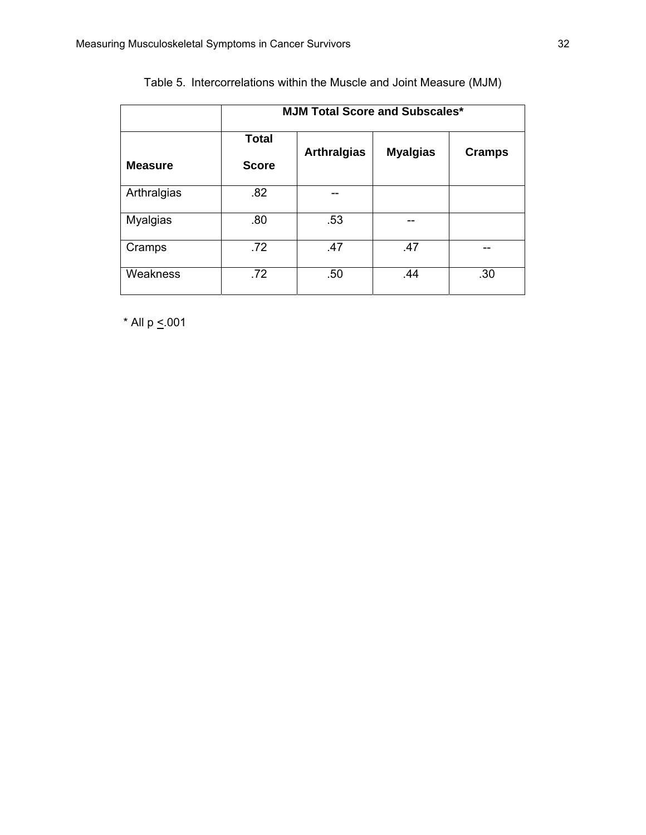|                | <b>MJM Total Score and Subscales*</b> |                    |                 |               |  |  |  |  |
|----------------|---------------------------------------|--------------------|-----------------|---------------|--|--|--|--|
| <b>Measure</b> | <b>Total</b><br><b>Score</b>          | <b>Arthralgias</b> | <b>Myalgias</b> | <b>Cramps</b> |  |  |  |  |
| Arthralgias    | .82                                   |                    |                 |               |  |  |  |  |
| Myalgias       | .80                                   | .53                |                 |               |  |  |  |  |
| Cramps         | .72                                   | .47                | .47             |               |  |  |  |  |
| Weakness       | .72                                   | .50                | .44             | .30           |  |  |  |  |

|  | Table 5. Intercorrelations within the Muscle and Joint Measure (MJM) |  |  |  |  |
|--|----------------------------------------------------------------------|--|--|--|--|
|--|----------------------------------------------------------------------|--|--|--|--|

 $*$  All p  $\leq$  001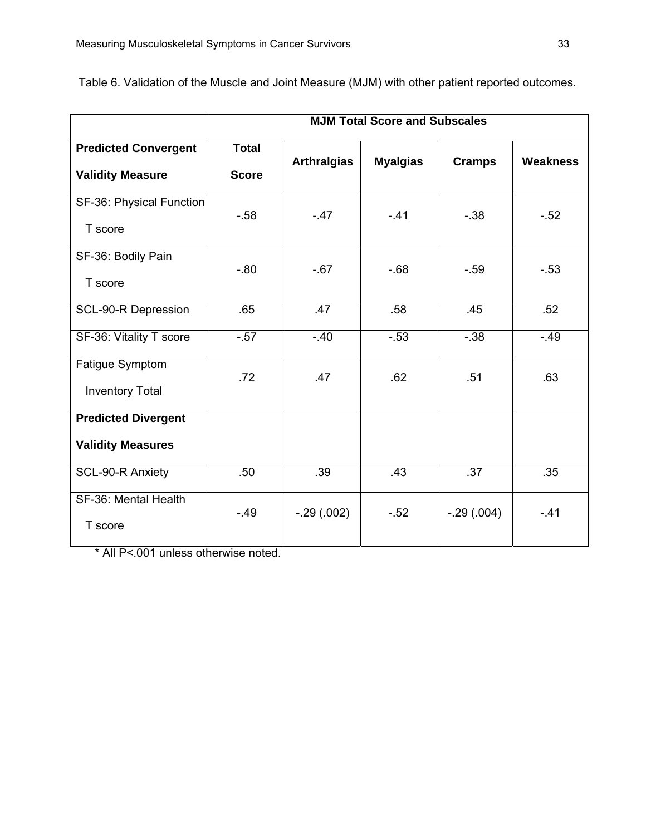|                                                        | <b>MJM Total Score and Subscales</b> |                    |                 |               |          |  |
|--------------------------------------------------------|--------------------------------------|--------------------|-----------------|---------------|----------|--|
| <b>Predicted Convergent</b><br><b>Validity Measure</b> | <b>Total</b><br><b>Score</b>         | <b>Arthralgias</b> | <b>Myalgias</b> | <b>Cramps</b> | Weakness |  |
| SF-36: Physical Function<br>T score                    | $-58$                                | $-.47$             | $-.41$          | $-38$         | $-52$    |  |
| SF-36: Bodily Pain<br>T score                          | $-.80$                               | $-.67$             | $-68$           | $-59$         | $-53$    |  |
| <b>SCL-90-R Depression</b>                             | .65                                  | .47                | .58             | .45           | .52      |  |
| SF-36: Vitality T score                                | $-0.57$                              | $-.40$             | $-53$           | $-38$         | $-.49$   |  |
| Fatigue Symptom<br><b>Inventory Total</b>              | .72                                  | .47                | .62             | .51           | .63      |  |
| <b>Predicted Divergent</b><br><b>Validity Measures</b> |                                      |                    |                 |               |          |  |
| SCL-90-R Anxiety                                       | .50                                  | .39                | .43             | .37           | .35      |  |
| SF-36: Mental Health<br>T score                        | $-.49$                               | $-.29(.002)$       | $-.52$          | $-.29(.004)$  | $-.41$   |  |

Table 6. Validation of the Muscle and Joint Measure (MJM) with other patient reported outcomes.

\* All P<.001 unless otherwise noted.